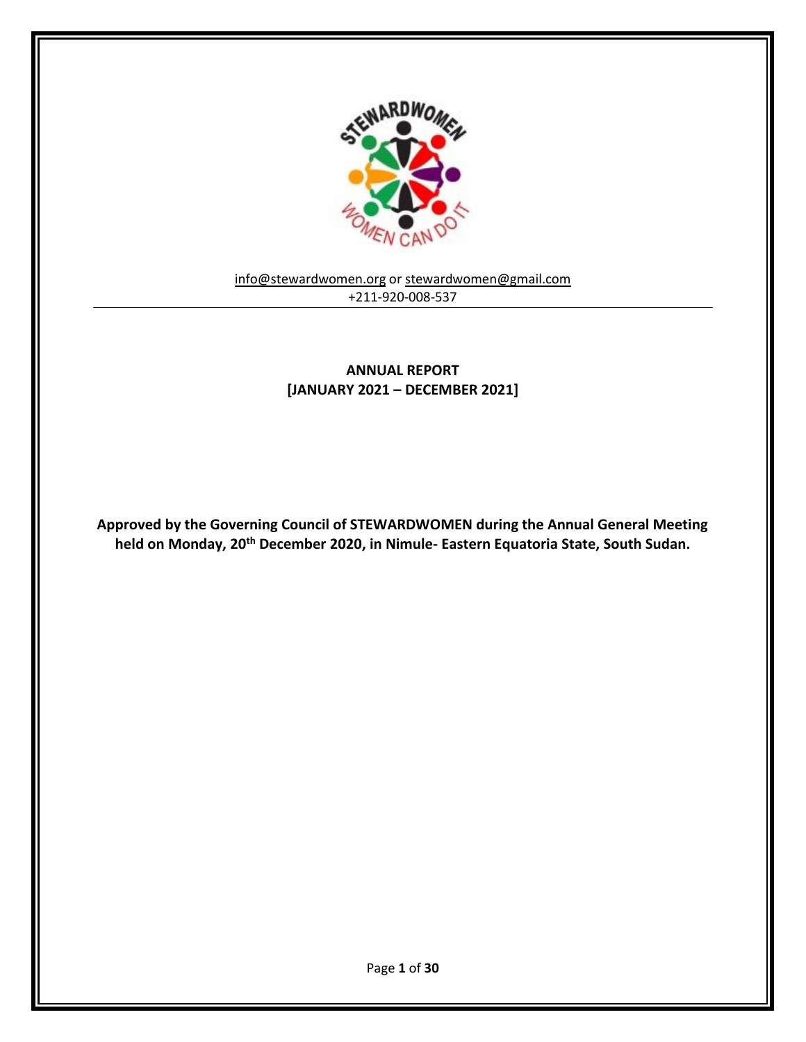

# [info@stewardwomen.org](mailto:info@stewardwomen.org) o[r stewardwomen@gmail.com](mailto:stewardwomen@gmail.com) +211-920-008-537

# **ANNUAL REPORT [JANUARY 2021 – DECEMBER 2021]**

**Approved by the Governing Council of STEWARDWOMEN during the Annual General Meeting held on Monday, 20th December 2020, in Nimule- Eastern Equatoria State, South Sudan.**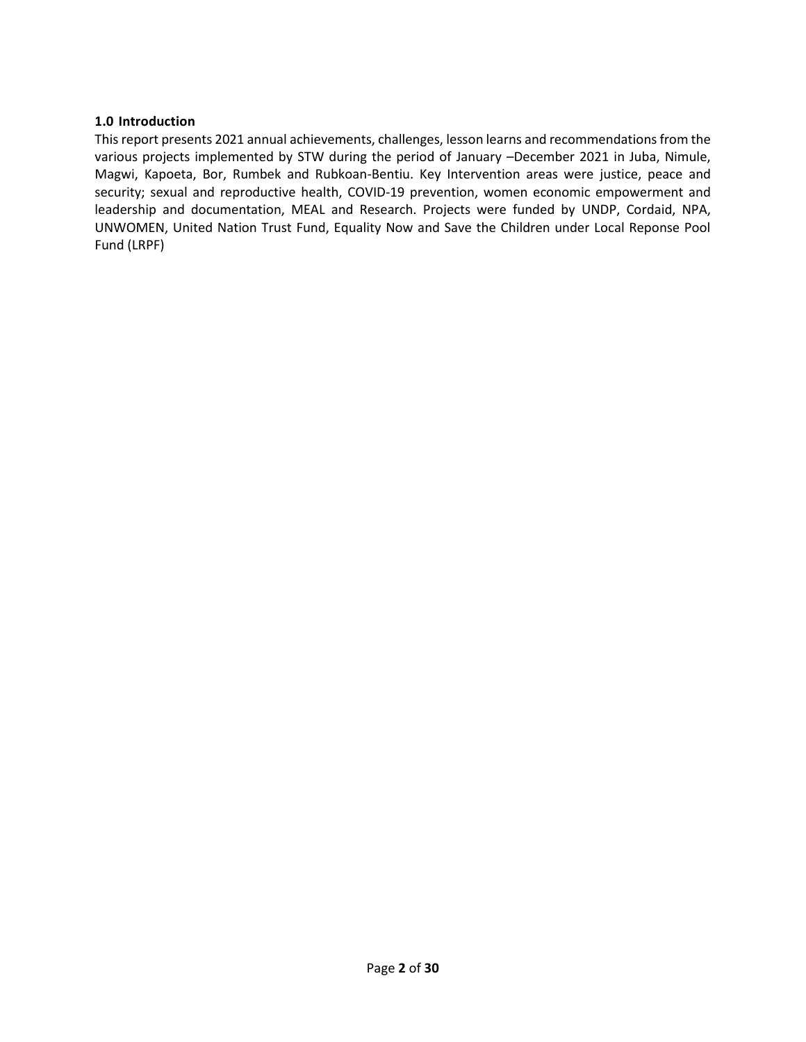# **1.0 Introduction**

This report presents 2021 annual achievements, challenges, lesson learns and recommendations from the various projects implemented by STW during the period of January –December 2021 in Juba, Nimule, Magwi, Kapoeta, Bor, Rumbek and Rubkoan-Bentiu. Key Intervention areas were justice, peace and security; sexual and reproductive health, COVID-19 prevention, women economic empowerment and leadership and documentation, MEAL and Research. Projects were funded by UNDP, Cordaid, NPA, UNWOMEN, United Nation Trust Fund, Equality Now and Save the Children under Local Reponse Pool Fund (LRPF)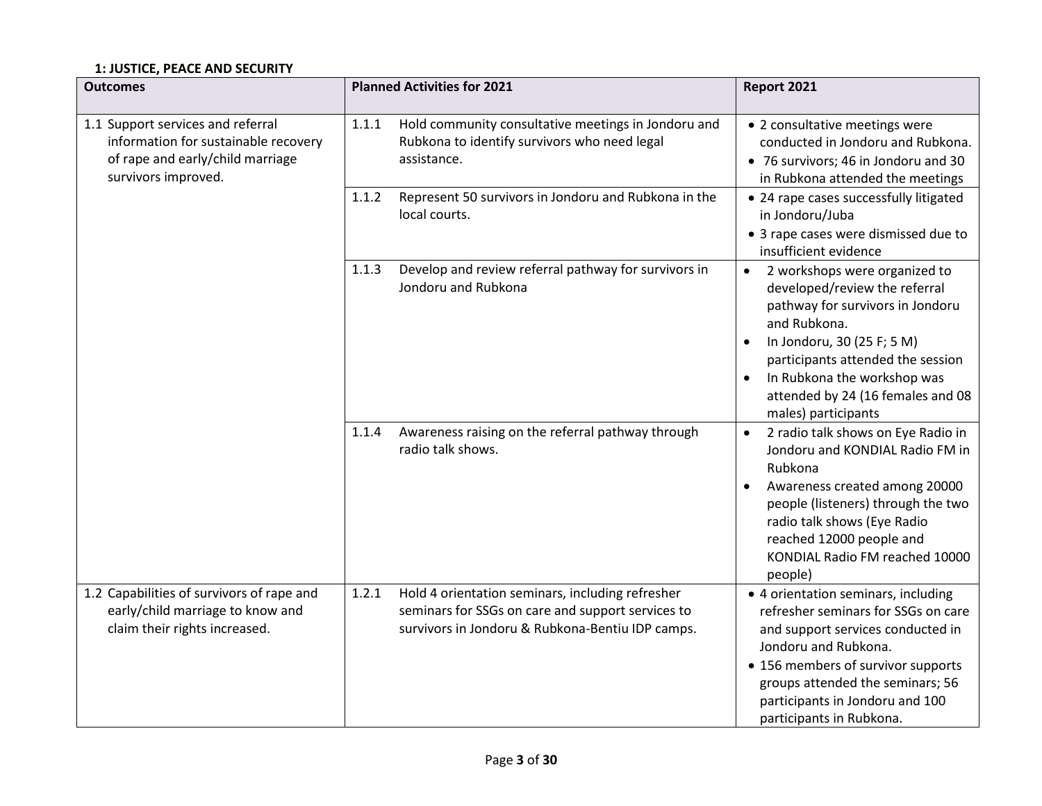# **1: JUSTICE, PEACE AND SECURITY**

| <b>Outcomes</b>                                                                                                                      | <b>Planned Activities for 2021</b>                                                                                                                                                           | Report 2021                                                                                                                                                                                                                                                                                                |
|--------------------------------------------------------------------------------------------------------------------------------------|----------------------------------------------------------------------------------------------------------------------------------------------------------------------------------------------|------------------------------------------------------------------------------------------------------------------------------------------------------------------------------------------------------------------------------------------------------------------------------------------------------------|
| 1.1 Support services and referral<br>information for sustainable recovery<br>of rape and early/child marriage<br>survivors improved. | Hold community consultative meetings in Jondoru and<br>1.1.1<br>Rubkona to identify survivors who need legal<br>assistance.<br>Represent 50 survivors in Jondoru and Rubkona in the<br>1.1.2 | • 2 consultative meetings were<br>conducted in Jondoru and Rubkona.<br>• 76 survivors; 46 in Jondoru and 30<br>in Rubkona attended the meetings<br>• 24 rape cases successfully litigated                                                                                                                  |
|                                                                                                                                      | local courts.                                                                                                                                                                                | in Jondoru/Juba<br>• 3 rape cases were dismissed due to<br>insufficient evidence                                                                                                                                                                                                                           |
|                                                                                                                                      | Develop and review referral pathway for survivors in<br>1.1.3<br>Jondoru and Rubkona                                                                                                         | 2 workshops were organized to<br>$\bullet$<br>developed/review the referral<br>pathway for survivors in Jondoru<br>and Rubkona.<br>In Jondoru, 30 (25 F; 5 M)<br>participants attended the session<br>In Rubkona the workshop was<br>$\bullet$<br>attended by 24 (16 females and 08<br>males) participants |
|                                                                                                                                      | Awareness raising on the referral pathway through<br>1.1.4<br>radio talk shows.                                                                                                              | 2 radio talk shows on Eye Radio in<br>$\bullet$<br>Jondoru and KONDIAL Radio FM in<br>Rubkona<br>Awareness created among 20000<br>people (listeners) through the two<br>radio talk shows (Eye Radio<br>reached 12000 people and<br>KONDIAL Radio FM reached 10000<br>people)                               |
| 1.2 Capabilities of survivors of rape and<br>early/child marriage to know and<br>claim their rights increased.                       | 1.2.1<br>Hold 4 orientation seminars, including refresher<br>seminars for SSGs on care and support services to<br>survivors in Jondoru & Rubkona-Bentiu IDP camps.                           | • 4 orientation seminars, including<br>refresher seminars for SSGs on care<br>and support services conducted in<br>Jondoru and Rubkona.<br>• 156 members of survivor supports<br>groups attended the seminars; 56<br>participants in Jondoru and 100<br>participants in Rubkona.                           |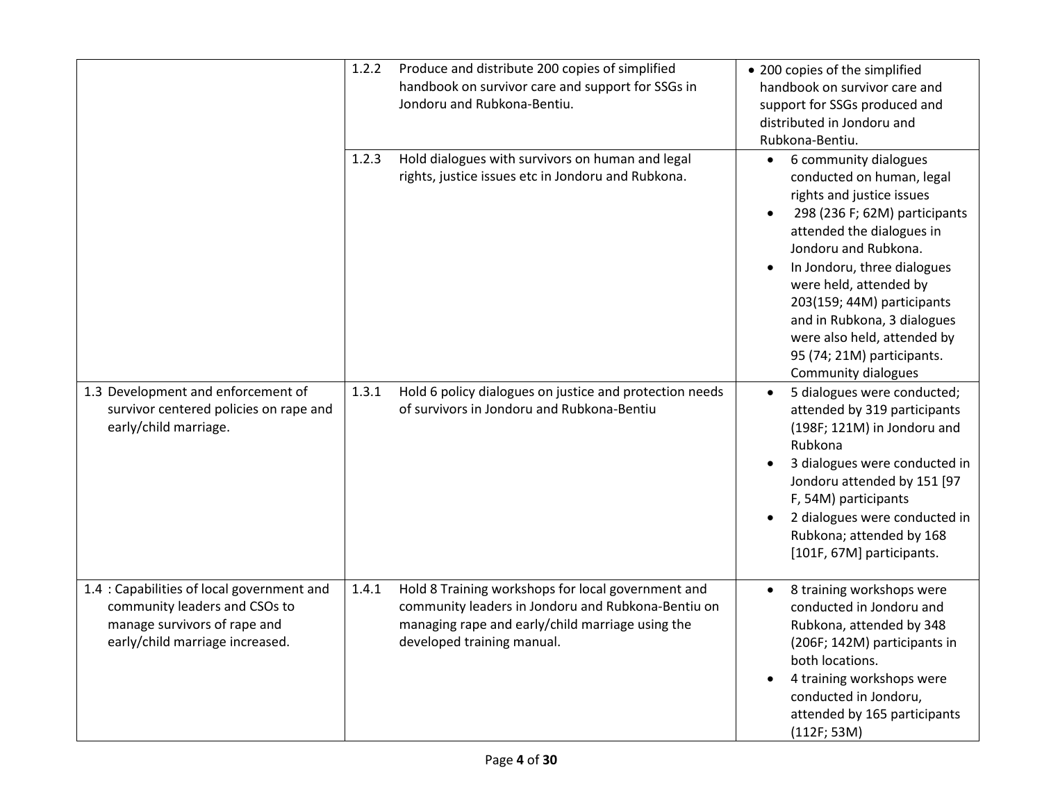|                                                                                                                                                | 1.2.2 | Produce and distribute 200 copies of simplified<br>handbook on survivor care and support for SSGs in<br>Jondoru and Rubkona-Bentiu.                                                        | • 200 copies of the simplified<br>handbook on survivor care and<br>support for SSGs produced and<br>distributed in Jondoru and                                                                                                                                                                                                                                                                                  |
|------------------------------------------------------------------------------------------------------------------------------------------------|-------|--------------------------------------------------------------------------------------------------------------------------------------------------------------------------------------------|-----------------------------------------------------------------------------------------------------------------------------------------------------------------------------------------------------------------------------------------------------------------------------------------------------------------------------------------------------------------------------------------------------------------|
|                                                                                                                                                | 1.2.3 | Hold dialogues with survivors on human and legal<br>rights, justice issues etc in Jondoru and Rubkona.                                                                                     | Rubkona-Bentiu.<br>6 community dialogues<br>$\bullet$<br>conducted on human, legal<br>rights and justice issues<br>298 (236 F; 62M) participants<br>attended the dialogues in<br>Jondoru and Rubkona.<br>In Jondoru, three dialogues<br>were held, attended by<br>203(159; 44M) participants<br>and in Rubkona, 3 dialogues<br>were also held, attended by<br>95 (74; 21M) participants.<br>Community dialogues |
| 1.3 Development and enforcement of<br>survivor centered policies on rape and<br>early/child marriage.                                          | 1.3.1 | Hold 6 policy dialogues on justice and protection needs<br>of survivors in Jondoru and Rubkona-Bentiu                                                                                      | 5 dialogues were conducted;<br>$\bullet$<br>attended by 319 participants<br>(198F; 121M) in Jondoru and<br>Rubkona<br>3 dialogues were conducted in<br>Jondoru attended by 151 [97<br>F, 54M) participants<br>2 dialogues were conducted in<br>$\bullet$<br>Rubkona; attended by 168<br>[101F, 67M] participants.                                                                                               |
| 1.4 : Capabilities of local government and<br>community leaders and CSOs to<br>manage survivors of rape and<br>early/child marriage increased. | 1.4.1 | Hold 8 Training workshops for local government and<br>community leaders in Jondoru and Rubkona-Bentiu on<br>managing rape and early/child marriage using the<br>developed training manual. | 8 training workshops were<br>$\bullet$<br>conducted in Jondoru and<br>Rubkona, attended by 348<br>(206F; 142M) participants in<br>both locations.<br>4 training workshops were<br>conducted in Jondoru,<br>attended by 165 participants<br>(112F; 53M)                                                                                                                                                          |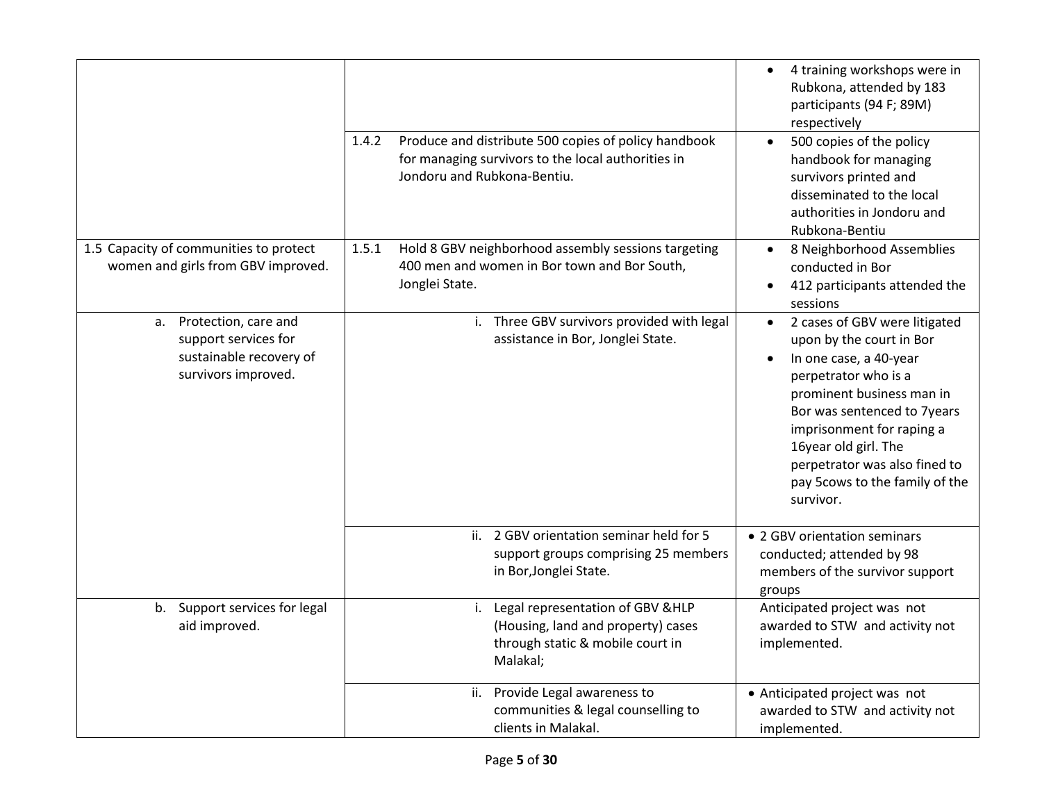|                                                                                                      |                                                                                                                                                    | 4 training workshops were in<br>$\bullet$<br>Rubkona, attended by 183<br>participants (94 F; 89M)<br>respectively                                                                                                                                                                                                                      |
|------------------------------------------------------------------------------------------------------|----------------------------------------------------------------------------------------------------------------------------------------------------|----------------------------------------------------------------------------------------------------------------------------------------------------------------------------------------------------------------------------------------------------------------------------------------------------------------------------------------|
|                                                                                                      | 1.4.2<br>Produce and distribute 500 copies of policy handbook<br>for managing survivors to the local authorities in<br>Jondoru and Rubkona-Bentiu. | 500 copies of the policy<br>$\bullet$<br>handbook for managing<br>survivors printed and<br>disseminated to the local<br>authorities in Jondoru and<br>Rubkona-Bentiu                                                                                                                                                                   |
| 1.5 Capacity of communities to protect<br>women and girls from GBV improved.                         | Hold 8 GBV neighborhood assembly sessions targeting<br>1.5.1<br>400 men and women in Bor town and Bor South,<br>Jonglei State.                     | 8 Neighborhood Assemblies<br>conducted in Bor<br>412 participants attended the<br>sessions                                                                                                                                                                                                                                             |
| Protection, care and<br>а.<br>support services for<br>sustainable recovery of<br>survivors improved. | i. Three GBV survivors provided with legal<br>assistance in Bor, Jonglei State.                                                                    | 2 cases of GBV were litigated<br>$\bullet$<br>upon by the court in Bor<br>In one case, a 40-year<br>$\bullet$<br>perpetrator who is a<br>prominent business man in<br>Bor was sentenced to 7years<br>imprisonment for raping a<br>16year old girl. The<br>perpetrator was also fined to<br>pay 5cows to the family of the<br>survivor. |
|                                                                                                      | ii. 2 GBV orientation seminar held for 5<br>support groups comprising 25 members<br>in Bor, Jonglei State.                                         | • 2 GBV orientation seminars<br>conducted; attended by 98<br>members of the survivor support<br>groups                                                                                                                                                                                                                                 |
| Support services for legal<br>b.<br>aid improved.                                                    | i. Legal representation of GBV & HLP<br>(Housing, land and property) cases<br>through static & mobile court in<br>Malakal;                         | Anticipated project was not<br>awarded to STW and activity not<br>implemented.                                                                                                                                                                                                                                                         |
|                                                                                                      | ii. Provide Legal awareness to<br>communities & legal counselling to<br>clients in Malakal.                                                        | • Anticipated project was not<br>awarded to STW and activity not<br>implemented.                                                                                                                                                                                                                                                       |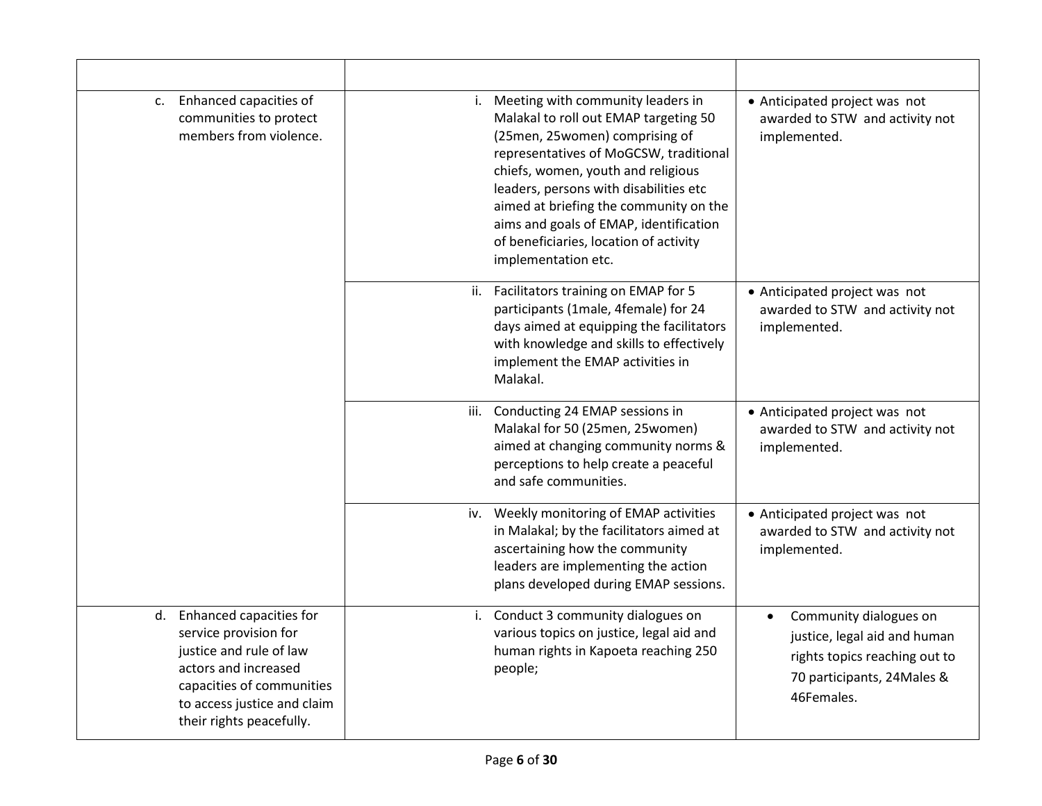| c. Enhanced capacities of<br>communities to protect<br>members from violence.                                                                                                                  | Meeting with community leaders in<br>i.<br>Malakal to roll out EMAP targeting 50<br>(25men, 25women) comprising of<br>representatives of MoGCSW, traditional<br>chiefs, women, youth and religious<br>leaders, persons with disabilities etc<br>aimed at briefing the community on the<br>aims and goals of EMAP, identification<br>of beneficiaries, location of activity<br>implementation etc. | • Anticipated project was not<br>awarded to STW and activity not<br>implemented.                                                                 |
|------------------------------------------------------------------------------------------------------------------------------------------------------------------------------------------------|---------------------------------------------------------------------------------------------------------------------------------------------------------------------------------------------------------------------------------------------------------------------------------------------------------------------------------------------------------------------------------------------------|--------------------------------------------------------------------------------------------------------------------------------------------------|
|                                                                                                                                                                                                | ii. Facilitators training on EMAP for 5<br>participants (1male, 4female) for 24<br>days aimed at equipping the facilitators<br>with knowledge and skills to effectively<br>implement the EMAP activities in<br>Malakal.                                                                                                                                                                           | • Anticipated project was not<br>awarded to STW and activity not<br>implemented.                                                                 |
|                                                                                                                                                                                                | iii. Conducting 24 EMAP sessions in<br>Malakal for 50 (25men, 25women)<br>aimed at changing community norms &<br>perceptions to help create a peaceful<br>and safe communities.                                                                                                                                                                                                                   | • Anticipated project was not<br>awarded to STW and activity not<br>implemented.                                                                 |
|                                                                                                                                                                                                | iv. Weekly monitoring of EMAP activities<br>in Malakal; by the facilitators aimed at<br>ascertaining how the community<br>leaders are implementing the action<br>plans developed during EMAP sessions.                                                                                                                                                                                            | • Anticipated project was not<br>awarded to STW and activity not<br>implemented.                                                                 |
| d. Enhanced capacities for<br>service provision for<br>justice and rule of law<br>actors and increased<br>capacities of communities<br>to access justice and claim<br>their rights peacefully. | Conduct 3 community dialogues on<br>i.<br>various topics on justice, legal aid and<br>human rights in Kapoeta reaching 250<br>people;                                                                                                                                                                                                                                                             | Community dialogues on<br>$\bullet$<br>justice, legal aid and human<br>rights topics reaching out to<br>70 participants, 24Males &<br>46Females. |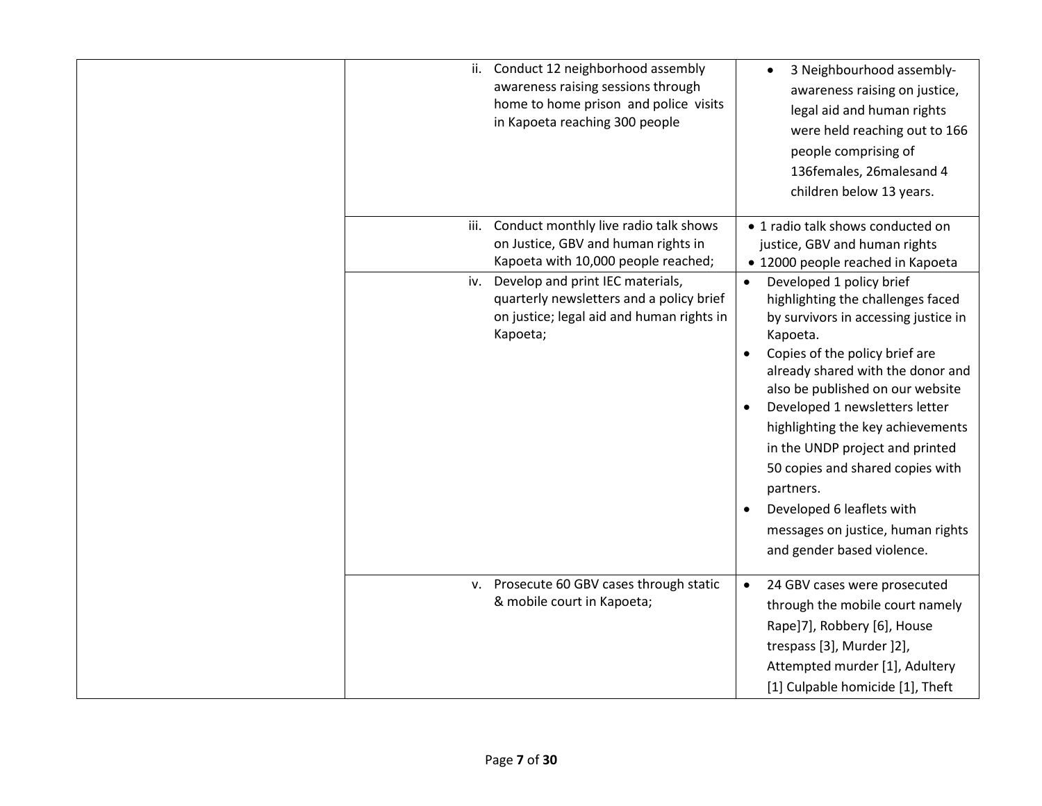| ii. Conduct 12 neighborhood assembly<br>awareness raising sessions through<br>home to home prison and police visits<br>in Kapoeta reaching 300 people | 3 Neighbourhood assembly-<br>awareness raising on justice,<br>legal aid and human rights<br>were held reaching out to 166<br>people comprising of<br>136females, 26malesand 4<br>children below 13 years.                                                                                                                                                                                                                                                                                                         |
|-------------------------------------------------------------------------------------------------------------------------------------------------------|-------------------------------------------------------------------------------------------------------------------------------------------------------------------------------------------------------------------------------------------------------------------------------------------------------------------------------------------------------------------------------------------------------------------------------------------------------------------------------------------------------------------|
| iii. Conduct monthly live radio talk shows<br>on Justice, GBV and human rights in<br>Kapoeta with 10,000 people reached;                              | • 1 radio talk shows conducted on<br>justice, GBV and human rights<br>• 12000 people reached in Kapoeta                                                                                                                                                                                                                                                                                                                                                                                                           |
| iv. Develop and print IEC materials,<br>quarterly newsletters and a policy brief<br>on justice; legal aid and human rights in<br>Kapoeta;             | Developed 1 policy brief<br>$\bullet$<br>highlighting the challenges faced<br>by survivors in accessing justice in<br>Kapoeta.<br>Copies of the policy brief are<br>$\bullet$<br>already shared with the donor and<br>also be published on our website<br>Developed 1 newsletters letter<br>highlighting the key achievements<br>in the UNDP project and printed<br>50 copies and shared copies with<br>partners.<br>Developed 6 leaflets with<br>messages on justice, human rights<br>and gender based violence. |
| v. Prosecute 60 GBV cases through static<br>& mobile court in Kapoeta;                                                                                | 24 GBV cases were prosecuted<br>$\bullet$<br>through the mobile court namely<br>Rape]7], Robbery [6], House<br>trespass [3], Murder ]2],<br>Attempted murder [1], Adultery<br>[1] Culpable homicide [1], Theft                                                                                                                                                                                                                                                                                                    |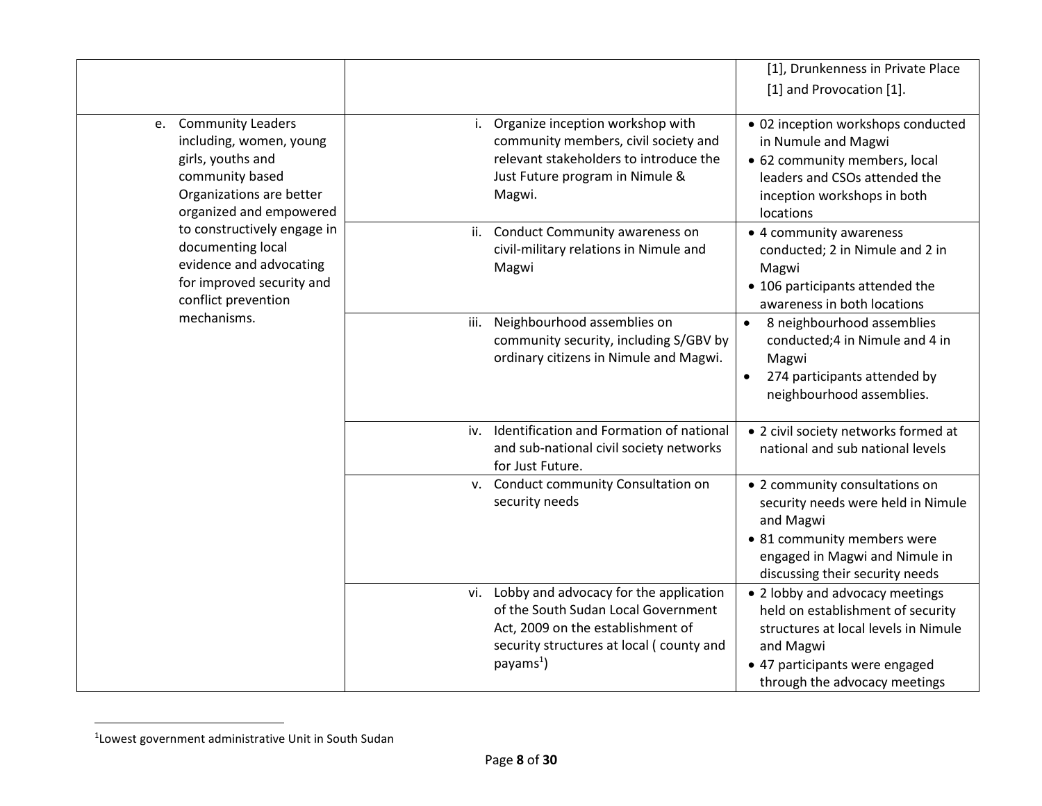|                                             |                                                                                   | [1], Drunkenness in Private Place                                    |
|---------------------------------------------|-----------------------------------------------------------------------------------|----------------------------------------------------------------------|
|                                             |                                                                                   | [1] and Provocation [1].                                             |
| e. Community Leaders                        | i. Organize inception workshop with                                               | · 02 inception workshops conducted                                   |
| including, women, young                     | community members, civil society and                                              | in Numule and Magwi                                                  |
| girls, youths and                           | relevant stakeholders to introduce the                                            | • 62 community members, local                                        |
| community based<br>Organizations are better | Just Future program in Nimule &<br>Magwi.                                         | leaders and CSOs attended the                                        |
| organized and empowered                     |                                                                                   | inception workshops in both<br>locations                             |
| to constructively engage in                 | ii. Conduct Community awareness on                                                | • 4 community awareness                                              |
| documenting local                           | civil-military relations in Nimule and                                            | conducted; 2 in Nimule and 2 in                                      |
| evidence and advocating                     | Magwi                                                                             | Magwi                                                                |
| for improved security and                   |                                                                                   | • 106 participants attended the                                      |
| conflict prevention<br>mechanisms.          |                                                                                   | awareness in both locations                                          |
|                                             | Neighbourhood assemblies on<br>iii.<br>community security, including S/GBV by     | 8 neighbourhood assemblies<br>conducted;4 in Nimule and 4 in         |
|                                             | ordinary citizens in Nimule and Magwi.                                            | Magwi                                                                |
|                                             |                                                                                   | 274 participants attended by                                         |
|                                             |                                                                                   | neighbourhood assemblies.                                            |
|                                             |                                                                                   |                                                                      |
|                                             | Identification and Formation of national<br>iv.                                   | • 2 civil society networks formed at                                 |
|                                             | and sub-national civil society networks<br>for Just Future.                       | national and sub national levels                                     |
|                                             | v. Conduct community Consultation on                                              | • 2 community consultations on                                       |
|                                             | security needs                                                                    | security needs were held in Nimule                                   |
|                                             |                                                                                   | and Magwi                                                            |
|                                             |                                                                                   | • 81 community members were                                          |
|                                             |                                                                                   | engaged in Magwi and Nimule in                                       |
|                                             |                                                                                   | discussing their security needs                                      |
|                                             | vi. Lobby and advocacy for the application<br>of the South Sudan Local Government | • 2 lobby and advocacy meetings<br>held on establishment of security |
|                                             | Act, 2009 on the establishment of                                                 | structures at local levels in Nimule                                 |
|                                             | security structures at local (county and                                          | and Magwi                                                            |
|                                             | payams <sup>1</sup>                                                               | • 47 participants were engaged                                       |
|                                             |                                                                                   | through the advocacy meetings                                        |

 1 Lowest government administrative Unit in South Sudan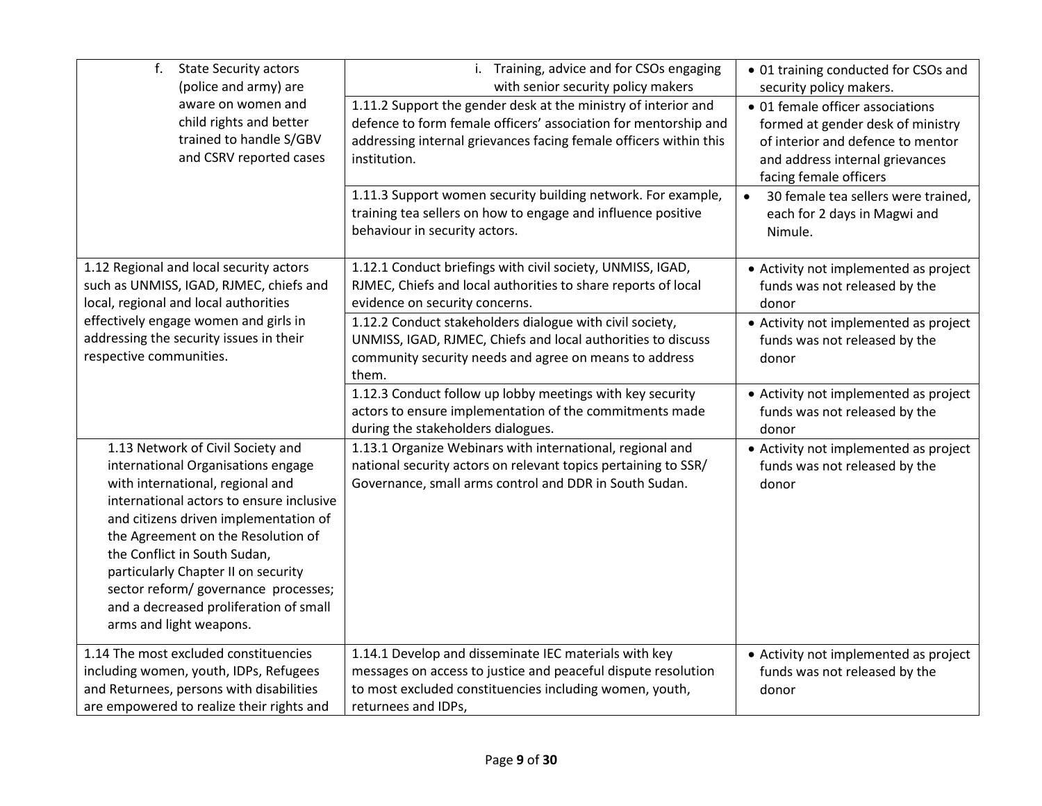| f.<br><b>State Security actors</b><br>(police and army) are                                                                                                                                                                                                                                                                                                                                                                | i. Training, advice and for CSOs engaging<br>with senior security policy makers                                                                                                                                        | • 01 training conducted for CSOs and<br>security policy makers.                                                                                                         |
|----------------------------------------------------------------------------------------------------------------------------------------------------------------------------------------------------------------------------------------------------------------------------------------------------------------------------------------------------------------------------------------------------------------------------|------------------------------------------------------------------------------------------------------------------------------------------------------------------------------------------------------------------------|-------------------------------------------------------------------------------------------------------------------------------------------------------------------------|
| aware on women and<br>child rights and better<br>trained to handle S/GBV<br>and CSRV reported cases                                                                                                                                                                                                                                                                                                                        | 1.11.2 Support the gender desk at the ministry of interior and<br>defence to form female officers' association for mentorship and<br>addressing internal grievances facing female officers within this<br>institution. | • 01 female officer associations<br>formed at gender desk of ministry<br>of interior and defence to mentor<br>and address internal grievances<br>facing female officers |
|                                                                                                                                                                                                                                                                                                                                                                                                                            | 1.11.3 Support women security building network. For example,<br>training tea sellers on how to engage and influence positive<br>behaviour in security actors.                                                          | 30 female tea sellers were trained,<br>$\bullet$<br>each for 2 days in Magwi and<br>Nimule.                                                                             |
| 1.12 Regional and local security actors<br>such as UNMISS, IGAD, RJMEC, chiefs and<br>local, regional and local authorities                                                                                                                                                                                                                                                                                                | 1.12.1 Conduct briefings with civil society, UNMISS, IGAD,<br>RJMEC, Chiefs and local authorities to share reports of local<br>evidence on security concerns.                                                          | • Activity not implemented as project<br>funds was not released by the<br>donor                                                                                         |
| effectively engage women and girls in<br>addressing the security issues in their<br>respective communities.                                                                                                                                                                                                                                                                                                                | 1.12.2 Conduct stakeholders dialogue with civil society,<br>UNMISS, IGAD, RJMEC, Chiefs and local authorities to discuss<br>community security needs and agree on means to address<br>them.                            | • Activity not implemented as project<br>funds was not released by the<br>donor                                                                                         |
|                                                                                                                                                                                                                                                                                                                                                                                                                            | 1.12.3 Conduct follow up lobby meetings with key security<br>actors to ensure implementation of the commitments made<br>during the stakeholders dialogues.                                                             | • Activity not implemented as project<br>funds was not released by the<br>donor                                                                                         |
| 1.13 Network of Civil Society and<br>international Organisations engage<br>with international, regional and<br>international actors to ensure inclusive<br>and citizens driven implementation of<br>the Agreement on the Resolution of<br>the Conflict in South Sudan,<br>particularly Chapter II on security<br>sector reform/ governance processes;<br>and a decreased proliferation of small<br>arms and light weapons. | 1.13.1 Organize Webinars with international, regional and<br>national security actors on relevant topics pertaining to SSR/<br>Governance, small arms control and DDR in South Sudan.                                  | • Activity not implemented as project<br>funds was not released by the<br>donor                                                                                         |
| 1.14 The most excluded constituencies<br>including women, youth, IDPs, Refugees<br>and Returnees, persons with disabilities<br>are empowered to realize their rights and                                                                                                                                                                                                                                                   | 1.14.1 Develop and disseminate IEC materials with key<br>messages on access to justice and peaceful dispute resolution<br>to most excluded constituencies including women, youth,<br>returnees and IDPs,               | • Activity not implemented as project<br>funds was not released by the<br>donor                                                                                         |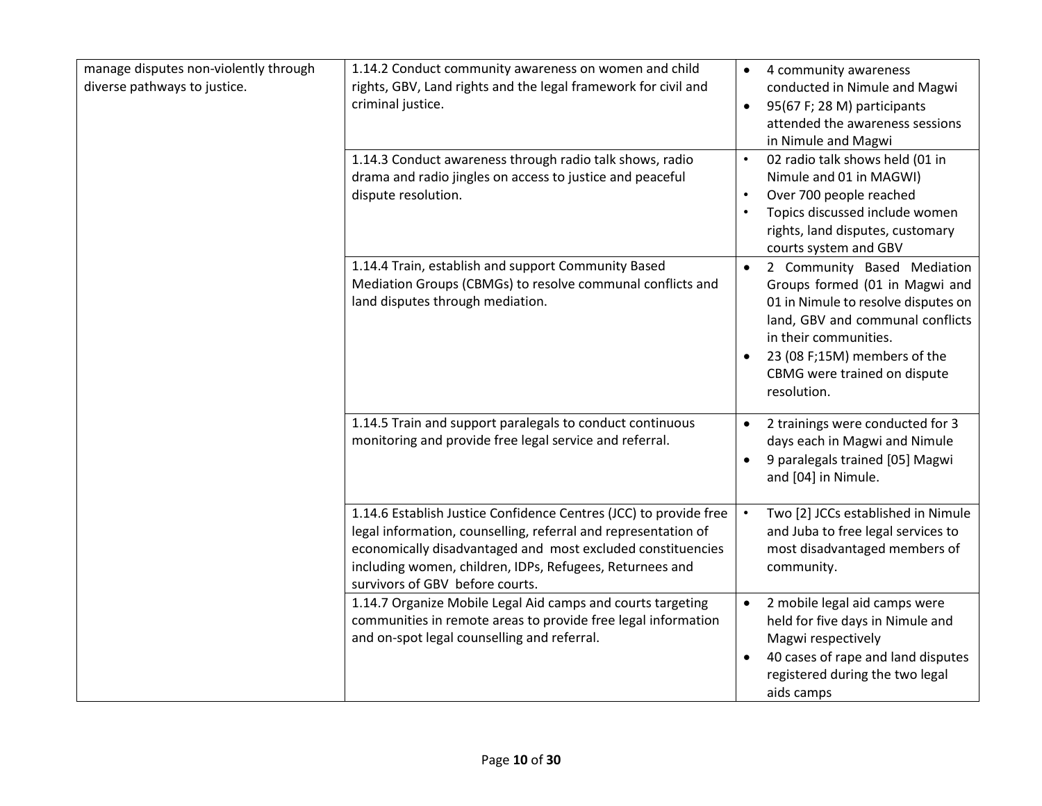| manage disputes non-violently through<br>diverse pathways to justice. | 1.14.2 Conduct community awareness on women and child<br>rights, GBV, Land rights and the legal framework for civil and<br>criminal justice.                                                                                                                                                      | $\bullet$<br>$\bullet$ | 4 community awareness<br>conducted in Nimule and Magwi<br>95(67 F; 28 M) participants<br>attended the awareness sessions<br>in Nimule and Magwi                                                                                                  |
|-----------------------------------------------------------------------|---------------------------------------------------------------------------------------------------------------------------------------------------------------------------------------------------------------------------------------------------------------------------------------------------|------------------------|--------------------------------------------------------------------------------------------------------------------------------------------------------------------------------------------------------------------------------------------------|
|                                                                       | 1.14.3 Conduct awareness through radio talk shows, radio<br>drama and radio jingles on access to justice and peaceful<br>dispute resolution.                                                                                                                                                      |                        | 02 radio talk shows held (01 in<br>Nimule and 01 in MAGWI)<br>Over 700 people reached<br>Topics discussed include women<br>rights, land disputes, customary<br>courts system and GBV                                                             |
|                                                                       | 1.14.4 Train, establish and support Community Based<br>Mediation Groups (CBMGs) to resolve communal conflicts and<br>land disputes through mediation.                                                                                                                                             | $\bullet$              | 2 Community Based Mediation<br>Groups formed (01 in Magwi and<br>01 in Nimule to resolve disputes on<br>land, GBV and communal conflicts<br>in their communities.<br>23 (08 F;15M) members of the<br>CBMG were trained on dispute<br>resolution. |
|                                                                       | 1.14.5 Train and support paralegals to conduct continuous<br>monitoring and provide free legal service and referral.                                                                                                                                                                              | $\bullet$<br>$\bullet$ | 2 trainings were conducted for 3<br>days each in Magwi and Nimule<br>9 paralegals trained [05] Magwi<br>and [04] in Nimule.                                                                                                                      |
|                                                                       | 1.14.6 Establish Justice Confidence Centres (JCC) to provide free<br>legal information, counselling, referral and representation of<br>economically disadvantaged and most excluded constituencies<br>including women, children, IDPs, Refugees, Returnees and<br>survivors of GBV before courts. |                        | Two [2] JCCs established in Nimule<br>and Juba to free legal services to<br>most disadvantaged members of<br>community.                                                                                                                          |
|                                                                       | 1.14.7 Organize Mobile Legal Aid camps and courts targeting<br>communities in remote areas to provide free legal information<br>and on-spot legal counselling and referral.                                                                                                                       |                        | 2 mobile legal aid camps were<br>held for five days in Nimule and<br>Magwi respectively<br>40 cases of rape and land disputes<br>registered during the two legal<br>aids camps                                                                   |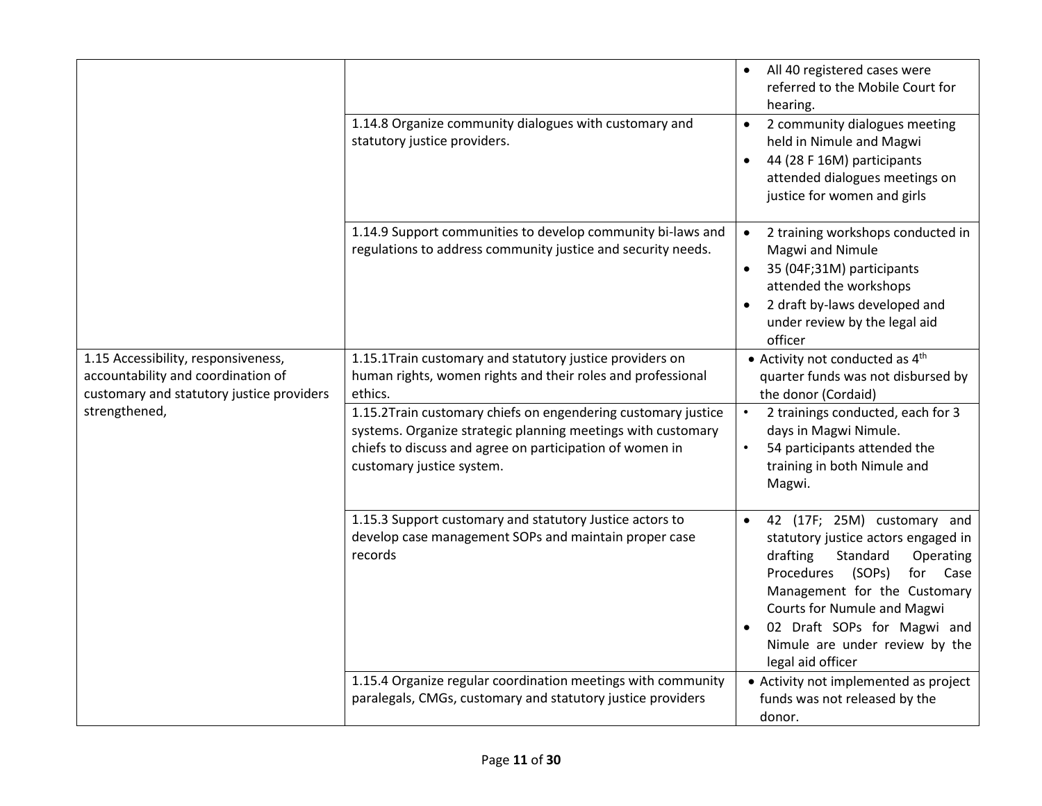|                                                                                                                                         |                                                                                                                                                                                                                        | All 40 registered cases were<br>referred to the Mobile Court for<br>hearing.                                                                                                                                                                                                                  |
|-----------------------------------------------------------------------------------------------------------------------------------------|------------------------------------------------------------------------------------------------------------------------------------------------------------------------------------------------------------------------|-----------------------------------------------------------------------------------------------------------------------------------------------------------------------------------------------------------------------------------------------------------------------------------------------|
|                                                                                                                                         | 1.14.8 Organize community dialogues with customary and<br>statutory justice providers.                                                                                                                                 | 2 community dialogues meeting<br>held in Nimule and Magwi<br>44 (28 F 16M) participants<br>attended dialogues meetings on<br>justice for women and girls                                                                                                                                      |
|                                                                                                                                         | 1.14.9 Support communities to develop community bi-laws and<br>regulations to address community justice and security needs.                                                                                            | 2 training workshops conducted in<br>$\bullet$<br>Magwi and Nimule<br>35 (04F;31M) participants<br>attended the workshops<br>2 draft by-laws developed and<br>under review by the legal aid<br>officer                                                                                        |
| 1.15 Accessibility, responsiveness,<br>accountability and coordination of<br>customary and statutory justice providers<br>strengthened, | 1.15.1Train customary and statutory justice providers on<br>human rights, women rights and their roles and professional<br>ethics.                                                                                     | • Activity not conducted as 4 <sup>th</sup><br>quarter funds was not disbursed by<br>the donor (Cordaid)                                                                                                                                                                                      |
|                                                                                                                                         | 1.15.2Train customary chiefs on engendering customary justice<br>systems. Organize strategic planning meetings with customary<br>chiefs to discuss and agree on participation of women in<br>customary justice system. | 2 trainings conducted, each for 3<br>days in Magwi Nimule.<br>54 participants attended the<br>training in both Nimule and<br>Magwi.                                                                                                                                                           |
|                                                                                                                                         | 1.15.3 Support customary and statutory Justice actors to<br>develop case management SOPs and maintain proper case<br>records                                                                                           | 42 (17F; 25M) customary and<br>statutory justice actors engaged in<br>drafting<br>Standard<br>Operating<br>Procedures (SOPs)<br>for Case<br>Management for the Customary<br>Courts for Numule and Magwi<br>02 Draft SOPs for Magwi and<br>Nimule are under review by the<br>legal aid officer |
|                                                                                                                                         | 1.15.4 Organize regular coordination meetings with community<br>paralegals, CMGs, customary and statutory justice providers                                                                                            | • Activity not implemented as project<br>funds was not released by the<br>donor.                                                                                                                                                                                                              |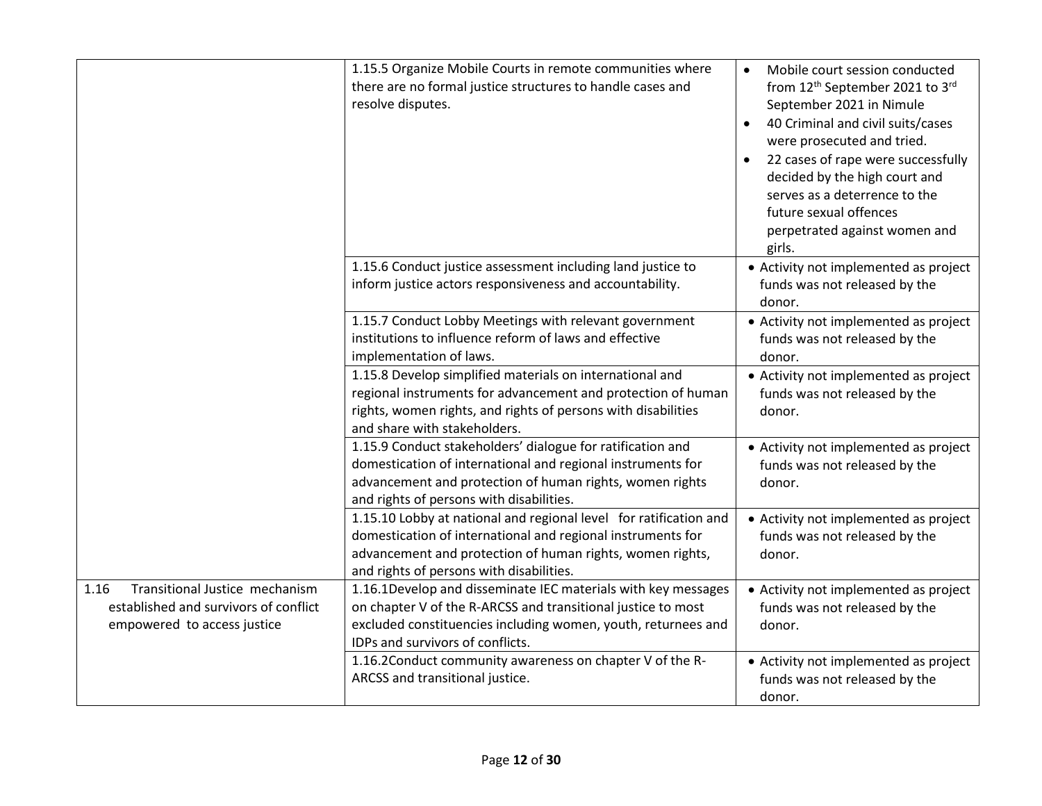|                                                                                                                | 1.15.5 Organize Mobile Courts in remote communities where<br>there are no formal justice structures to handle cases and<br>resolve disputes.                                                                                              | Mobile court session conducted<br>from 12 <sup>th</sup> September 2021 to 3 <sup>rd</sup><br>September 2021 in Nimule<br>40 Criminal and civil suits/cases<br>were prosecuted and tried.<br>22 cases of rape were successfully<br>decided by the high court and<br>serves as a deterrence to the<br>future sexual offences<br>perpetrated against women and<br>girls. |
|----------------------------------------------------------------------------------------------------------------|-------------------------------------------------------------------------------------------------------------------------------------------------------------------------------------------------------------------------------------------|-----------------------------------------------------------------------------------------------------------------------------------------------------------------------------------------------------------------------------------------------------------------------------------------------------------------------------------------------------------------------|
|                                                                                                                | 1.15.6 Conduct justice assessment including land justice to<br>inform justice actors responsiveness and accountability.                                                                                                                   | • Activity not implemented as project<br>funds was not released by the<br>donor.                                                                                                                                                                                                                                                                                      |
|                                                                                                                | 1.15.7 Conduct Lobby Meetings with relevant government<br>institutions to influence reform of laws and effective<br>implementation of laws.                                                                                               | • Activity not implemented as project<br>funds was not released by the<br>donor.                                                                                                                                                                                                                                                                                      |
|                                                                                                                | 1.15.8 Develop simplified materials on international and<br>regional instruments for advancement and protection of human<br>rights, women rights, and rights of persons with disabilities<br>and share with stakeholders.                 | • Activity not implemented as project<br>funds was not released by the<br>donor.                                                                                                                                                                                                                                                                                      |
|                                                                                                                | 1.15.9 Conduct stakeholders' dialogue for ratification and<br>domestication of international and regional instruments for<br>advancement and protection of human rights, women rights<br>and rights of persons with disabilities.         | • Activity not implemented as project<br>funds was not released by the<br>donor.                                                                                                                                                                                                                                                                                      |
|                                                                                                                | 1.15.10 Lobby at national and regional level for ratification and<br>domestication of international and regional instruments for<br>advancement and protection of human rights, women rights,<br>and rights of persons with disabilities. | • Activity not implemented as project<br>funds was not released by the<br>donor.                                                                                                                                                                                                                                                                                      |
| Transitional Justice mechanism<br>1.16<br>established and survivors of conflict<br>empowered to access justice | 1.16.1Develop and disseminate IEC materials with key messages<br>on chapter V of the R-ARCSS and transitional justice to most<br>excluded constituencies including women, youth, returnees and<br>IDPs and survivors of conflicts.        | • Activity not implemented as project<br>funds was not released by the<br>donor.                                                                                                                                                                                                                                                                                      |
|                                                                                                                | 1.16.2 Conduct community awareness on chapter V of the R-<br>ARCSS and transitional justice.                                                                                                                                              | • Activity not implemented as project<br>funds was not released by the<br>donor.                                                                                                                                                                                                                                                                                      |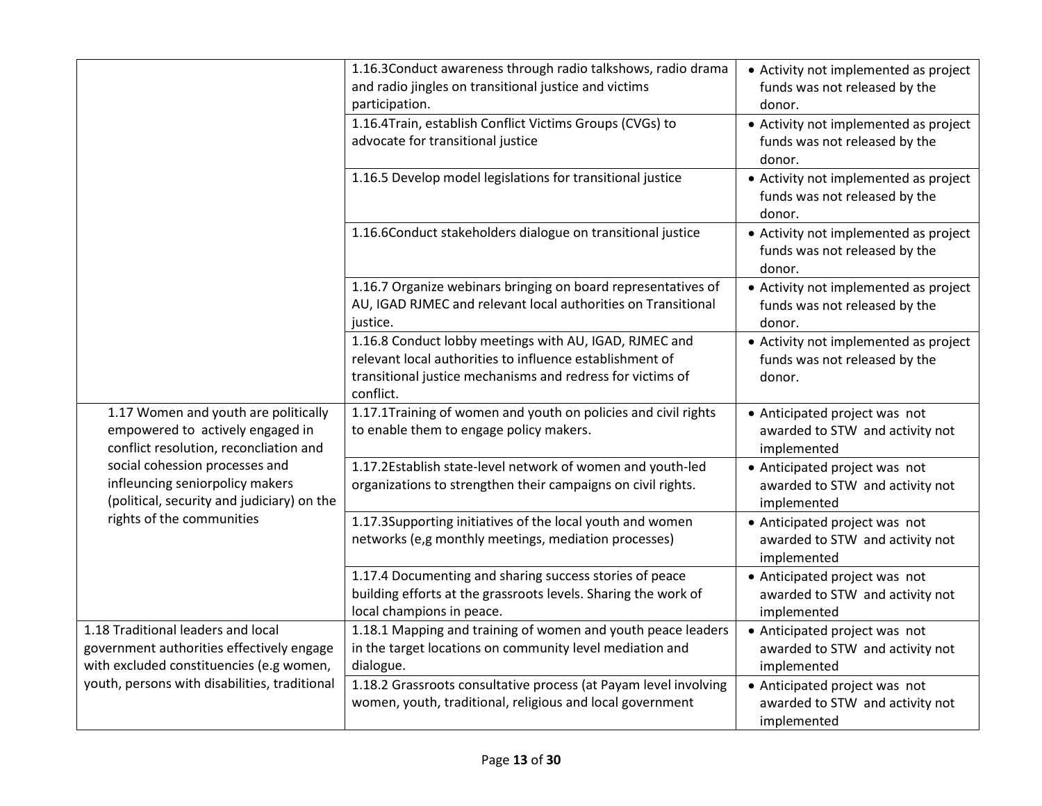|                                                                                                                             | 1.16.3Conduct awareness through radio talkshows, radio drama<br>and radio jingles on transitional justice and victims<br>participation.                                                       | • Activity not implemented as project<br>funds was not released by the<br>donor. |
|-----------------------------------------------------------------------------------------------------------------------------|-----------------------------------------------------------------------------------------------------------------------------------------------------------------------------------------------|----------------------------------------------------------------------------------|
|                                                                                                                             | 1.16.4Train, establish Conflict Victims Groups (CVGs) to<br>advocate for transitional justice                                                                                                 | • Activity not implemented as project<br>funds was not released by the<br>donor. |
|                                                                                                                             | 1.16.5 Develop model legislations for transitional justice                                                                                                                                    | • Activity not implemented as project<br>funds was not released by the<br>donor. |
|                                                                                                                             | 1.16.6Conduct stakeholders dialogue on transitional justice                                                                                                                                   | • Activity not implemented as project<br>funds was not released by the<br>donor. |
|                                                                                                                             | 1.16.7 Organize webinars bringing on board representatives of<br>AU, IGAD RJMEC and relevant local authorities on Transitional<br>justice.                                                    | • Activity not implemented as project<br>funds was not released by the<br>donor. |
|                                                                                                                             | 1.16.8 Conduct lobby meetings with AU, IGAD, RJMEC and<br>relevant local authorities to influence establishment of<br>transitional justice mechanisms and redress for victims of<br>conflict. | • Activity not implemented as project<br>funds was not released by the<br>donor. |
| 1.17 Women and youth are politically<br>empowered to actively engaged in<br>conflict resolution, reconcliation and          | 1.17.1Training of women and youth on policies and civil rights<br>to enable them to engage policy makers.                                                                                     | • Anticipated project was not<br>awarded to STW and activity not<br>implemented  |
| social cohession processes and<br>infleuncing seniorpolicy makers<br>(political, security and judiciary) on the             | 1.17.2Establish state-level network of women and youth-led<br>organizations to strengthen their campaigns on civil rights.                                                                    | • Anticipated project was not<br>awarded to STW and activity not<br>implemented  |
| rights of the communities                                                                                                   | 1.17.3Supporting initiatives of the local youth and women<br>networks (e,g monthly meetings, mediation processes)                                                                             | • Anticipated project was not<br>awarded to STW and activity not<br>implemented  |
|                                                                                                                             | 1.17.4 Documenting and sharing success stories of peace<br>building efforts at the grassroots levels. Sharing the work of<br>local champions in peace.                                        | • Anticipated project was not<br>awarded to STW and activity not<br>implemented  |
| 1.18 Traditional leaders and local<br>government authorities effectively engage<br>with excluded constituencies (e.g women, | 1.18.1 Mapping and training of women and youth peace leaders<br>in the target locations on community level mediation and<br>dialogue.                                                         | • Anticipated project was not<br>awarded to STW and activity not<br>implemented  |
| youth, persons with disabilities, traditional                                                                               | 1.18.2 Grassroots consultative process (at Payam level involving<br>women, youth, traditional, religious and local government                                                                 | • Anticipated project was not<br>awarded to STW and activity not<br>implemented  |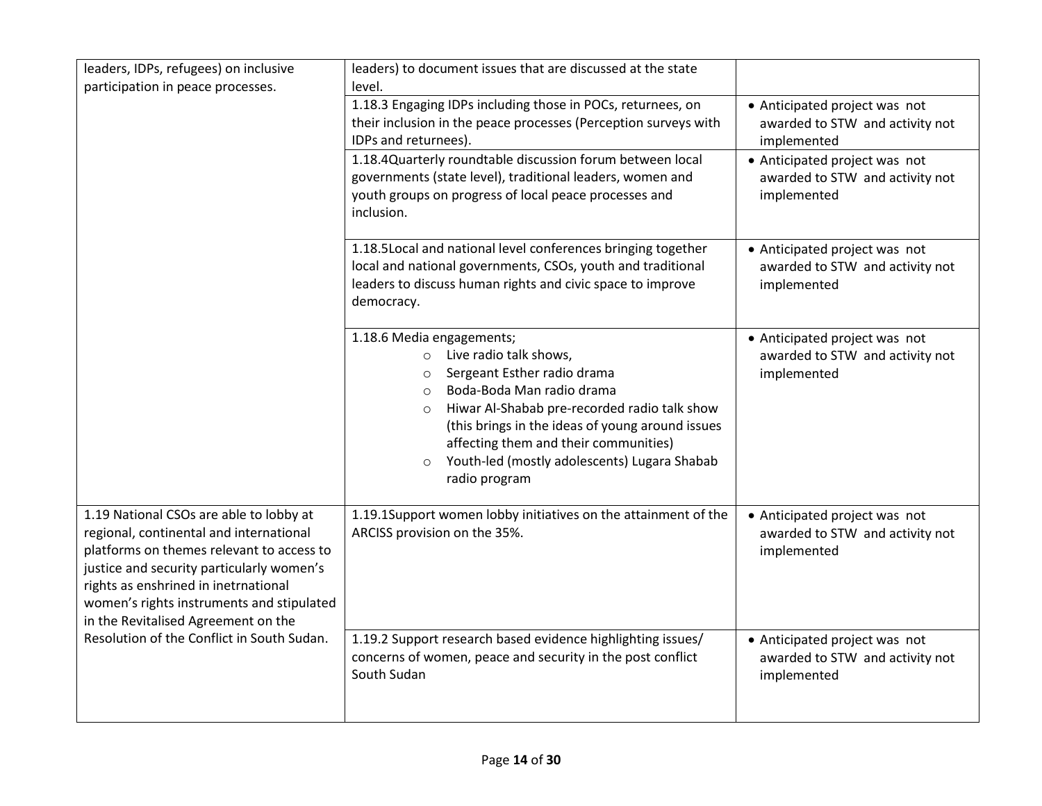| leaders, IDPs, refugees) on inclusive      | leaders) to document issues that are discussed at the state                                                            |                                                                  |
|--------------------------------------------|------------------------------------------------------------------------------------------------------------------------|------------------------------------------------------------------|
| participation in peace processes.          | level.                                                                                                                 |                                                                  |
|                                            | 1.18.3 Engaging IDPs including those in POCs, returnees, on                                                            | • Anticipated project was not                                    |
|                                            | their inclusion in the peace processes (Perception surveys with                                                        | awarded to STW and activity not                                  |
|                                            | IDPs and returnees).                                                                                                   | implemented                                                      |
|                                            | 1.18.4Quarterly roundtable discussion forum between local<br>governments (state level), traditional leaders, women and | • Anticipated project was not<br>awarded to STW and activity not |
|                                            | youth groups on progress of local peace processes and                                                                  | implemented                                                      |
|                                            | inclusion.                                                                                                             |                                                                  |
|                                            | 1.18.5Local and national level conferences bringing together                                                           | • Anticipated project was not                                    |
|                                            | local and national governments, CSOs, youth and traditional                                                            | awarded to STW and activity not                                  |
|                                            | leaders to discuss human rights and civic space to improve                                                             | implemented                                                      |
|                                            | democracy.                                                                                                             |                                                                  |
|                                            | 1.18.6 Media engagements;                                                                                              | • Anticipated project was not                                    |
|                                            | o Live radio talk shows,                                                                                               | awarded to STW and activity not                                  |
|                                            | Sergeant Esther radio drama<br>$\circ$                                                                                 | implemented                                                      |
|                                            | Boda-Boda Man radio drama<br>$\circ$<br>Hiwar Al-Shabab pre-recorded radio talk show                                   |                                                                  |
|                                            | $\circ$<br>(this brings in the ideas of young around issues                                                            |                                                                  |
|                                            | affecting them and their communities)                                                                                  |                                                                  |
|                                            | Youth-led (mostly adolescents) Lugara Shabab<br>$\circ$                                                                |                                                                  |
|                                            | radio program                                                                                                          |                                                                  |
| 1.19 National CSOs are able to lobby at    | 1.19.1Support women lobby initiatives on the attainment of the                                                         | • Anticipated project was not                                    |
| regional, continental and international    | ARCISS provision on the 35%.                                                                                           | awarded to STW and activity not                                  |
| platforms on themes relevant to access to  |                                                                                                                        | implemented                                                      |
| justice and security particularly women's  |                                                                                                                        |                                                                  |
| rights as enshrined in inetrnational       |                                                                                                                        |                                                                  |
| women's rights instruments and stipulated  |                                                                                                                        |                                                                  |
| in the Revitalised Agreement on the        |                                                                                                                        |                                                                  |
| Resolution of the Conflict in South Sudan. | 1.19.2 Support research based evidence highlighting issues/                                                            | • Anticipated project was not                                    |
|                                            | concerns of women, peace and security in the post conflict<br>South Sudan                                              | awarded to STW and activity not                                  |
|                                            |                                                                                                                        | implemented                                                      |
|                                            |                                                                                                                        |                                                                  |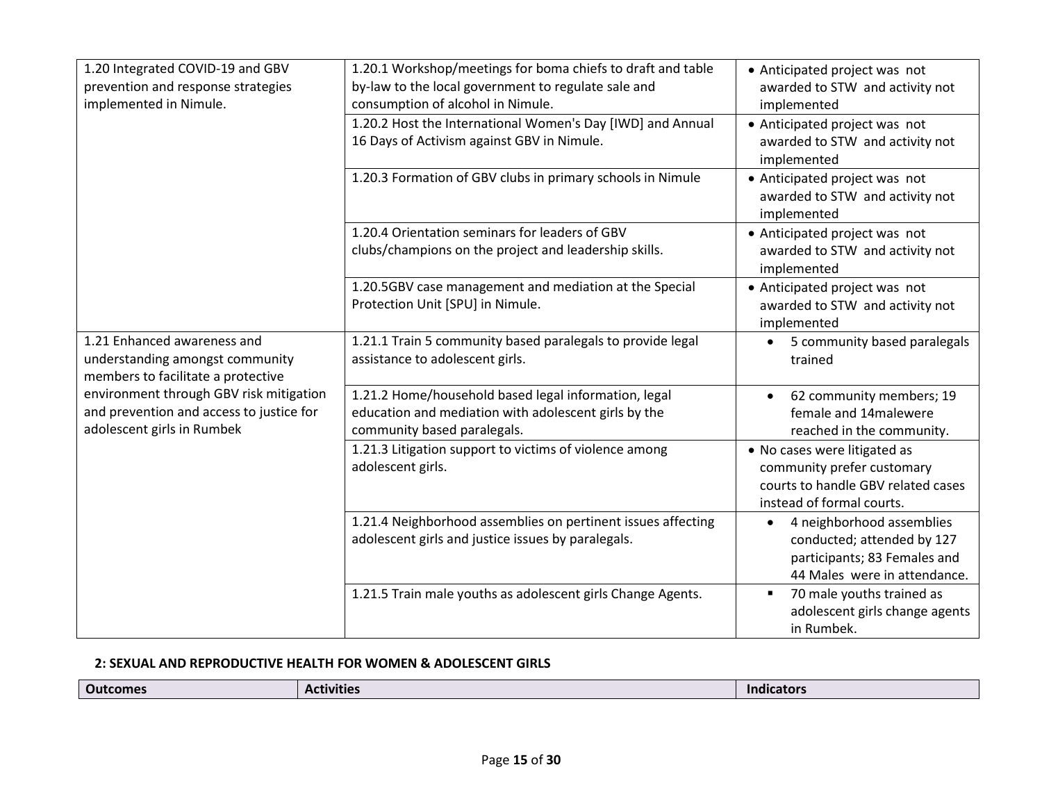| 1.20 Integrated COVID-19 and GBV         | 1.20.1 Workshop/meetings for boma chiefs to draft and table  | • Anticipated project was not               |
|------------------------------------------|--------------------------------------------------------------|---------------------------------------------|
| prevention and response strategies       | by-law to the local government to regulate sale and          | awarded to STW and activity not             |
| implemented in Nimule.                   | consumption of alcohol in Nimule.                            | implemented                                 |
|                                          | 1.20.2 Host the International Women's Day [IWD] and Annual   | • Anticipated project was not               |
|                                          | 16 Days of Activism against GBV in Nimule.                   | awarded to STW and activity not             |
|                                          |                                                              | implemented                                 |
|                                          | 1.20.3 Formation of GBV clubs in primary schools in Nimule   | • Anticipated project was not               |
|                                          |                                                              | awarded to STW and activity not             |
|                                          |                                                              | implemented                                 |
|                                          | 1.20.4 Orientation seminars for leaders of GBV               | • Anticipated project was not               |
|                                          | clubs/champions on the project and leadership skills.        | awarded to STW and activity not             |
|                                          |                                                              | implemented                                 |
|                                          | 1.20.5GBV case management and mediation at the Special       | • Anticipated project was not               |
|                                          | Protection Unit [SPU] in Nimule.                             | awarded to STW and activity not             |
|                                          |                                                              | implemented                                 |
| 1.21 Enhanced awareness and              | 1.21.1 Train 5 community based paralegals to provide legal   | 5 community based paralegals<br>$\bullet$   |
| understanding amongst community          | assistance to adolescent girls.                              | trained                                     |
| members to facilitate a protective       |                                                              |                                             |
| environment through GBV risk mitigation  | 1.21.2 Home/household based legal information, legal         | 62 community members; 19<br>$\bullet$       |
| and prevention and access to justice for | education and mediation with adolescent girls by the         | female and 14malewere                       |
| adolescent girls in Rumbek               | community based paralegals.                                  | reached in the community.                   |
|                                          | 1.21.3 Litigation support to victims of violence among       | • No cases were litigated as                |
|                                          | adolescent girls.                                            | community prefer customary                  |
|                                          |                                                              | courts to handle GBV related cases          |
|                                          |                                                              | instead of formal courts.                   |
|                                          | 1.21.4 Neighborhood assemblies on pertinent issues affecting | 4 neighborhood assemblies<br>$\bullet$      |
|                                          | adolescent girls and justice issues by paralegals.           | conducted; attended by 127                  |
|                                          |                                                              | participants; 83 Females and                |
|                                          |                                                              | 44 Males were in attendance.                |
|                                          | 1.21.5 Train male youths as adolescent girls Change Agents.  | 70 male youths trained as<br>$\blacksquare$ |
|                                          |                                                              | adolescent girls change agents              |
|                                          |                                                              | in Rumbek.                                  |
|                                          |                                                              |                                             |

# **2: SEXUAL AND REPRODUCTIVE HEALTH FOR WOMEN & ADOLESCENT GIRLS**

| <b>Outcomes</b><br>. .<br><b>Activities</b> | . .<br>Indicators |
|---------------------------------------------|-------------------|
|---------------------------------------------|-------------------|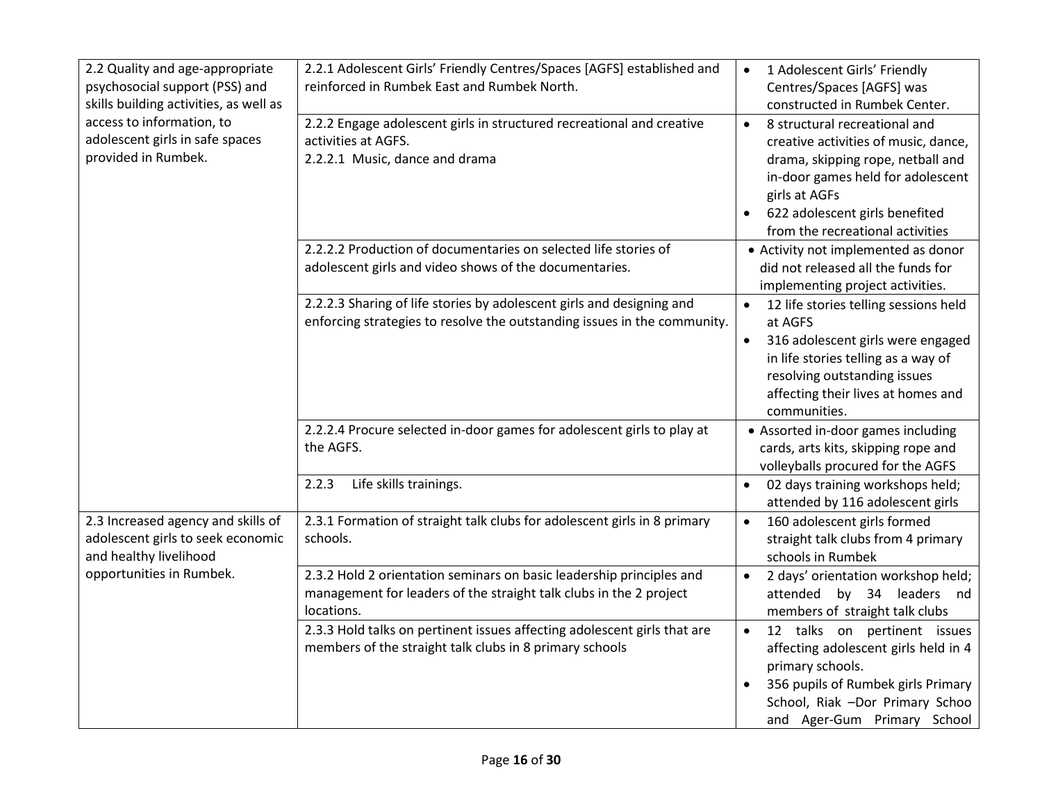| 2.2 Quality and age-appropriate<br>psychosocial support (PSS) and<br>skills building activities, as well as | 2.2.1 Adolescent Girls' Friendly Centres/Spaces [AGFS] established and<br>reinforced in Rumbek East and Rumbek North.                                    | 1 Adolescent Girls' Friendly<br>$\bullet$<br>Centres/Spaces [AGFS] was<br>constructed in Rumbek Center.                                                                                                                                                          |
|-------------------------------------------------------------------------------------------------------------|----------------------------------------------------------------------------------------------------------------------------------------------------------|------------------------------------------------------------------------------------------------------------------------------------------------------------------------------------------------------------------------------------------------------------------|
| access to information, to<br>adolescent girls in safe spaces<br>provided in Rumbek.                         | 2.2.2 Engage adolescent girls in structured recreational and creative<br>activities at AGFS.<br>2.2.2.1 Music, dance and drama                           | 8 structural recreational and<br>$\bullet$<br>creative activities of music, dance,<br>drama, skipping rope, netball and<br>in-door games held for adolescent<br>girls at AGFs<br>622 adolescent girls benefited<br>$\bullet$<br>from the recreational activities |
|                                                                                                             | 2.2.2.2 Production of documentaries on selected life stories of<br>adolescent girls and video shows of the documentaries.                                | • Activity not implemented as donor<br>did not released all the funds for<br>implementing project activities.                                                                                                                                                    |
|                                                                                                             | 2.2.2.3 Sharing of life stories by adolescent girls and designing and<br>enforcing strategies to resolve the outstanding issues in the community.        | 12 life stories telling sessions held<br>$\bullet$<br>at AGFS<br>316 adolescent girls were engaged<br>$\bullet$<br>in life stories telling as a way of<br>resolving outstanding issues<br>affecting their lives at homes and<br>communities.                     |
|                                                                                                             | 2.2.2.4 Procure selected in-door games for adolescent girls to play at<br>the AGFS.                                                                      | • Assorted in-door games including<br>cards, arts kits, skipping rope and<br>volleyballs procured for the AGFS                                                                                                                                                   |
|                                                                                                             | 2.2.3<br>Life skills trainings.                                                                                                                          | 02 days training workshops held;<br>$\bullet$<br>attended by 116 adolescent girls                                                                                                                                                                                |
| 2.3 Increased agency and skills of<br>adolescent girls to seek economic<br>and healthy livelihood           | 2.3.1 Formation of straight talk clubs for adolescent girls in 8 primary<br>schools.                                                                     | 160 adolescent girls formed<br>$\bullet$<br>straight talk clubs from 4 primary<br>schools in Rumbek                                                                                                                                                              |
| opportunities in Rumbek.                                                                                    | 2.3.2 Hold 2 orientation seminars on basic leadership principles and<br>management for leaders of the straight talk clubs in the 2 project<br>locations. | 2 days' orientation workshop held;<br>$\bullet$<br>attended by 34 leaders nd<br>members of straight talk clubs                                                                                                                                                   |
|                                                                                                             | 2.3.3 Hold talks on pertinent issues affecting adolescent girls that are<br>members of the straight talk clubs in 8 primary schools                      | 12 talks on pertinent issues<br>$\bullet$<br>affecting adolescent girls held in 4<br>primary schools.<br>356 pupils of Rumbek girls Primary<br>School, Riak -Dor Primary Schoo<br>and Ager-Gum Primary School                                                    |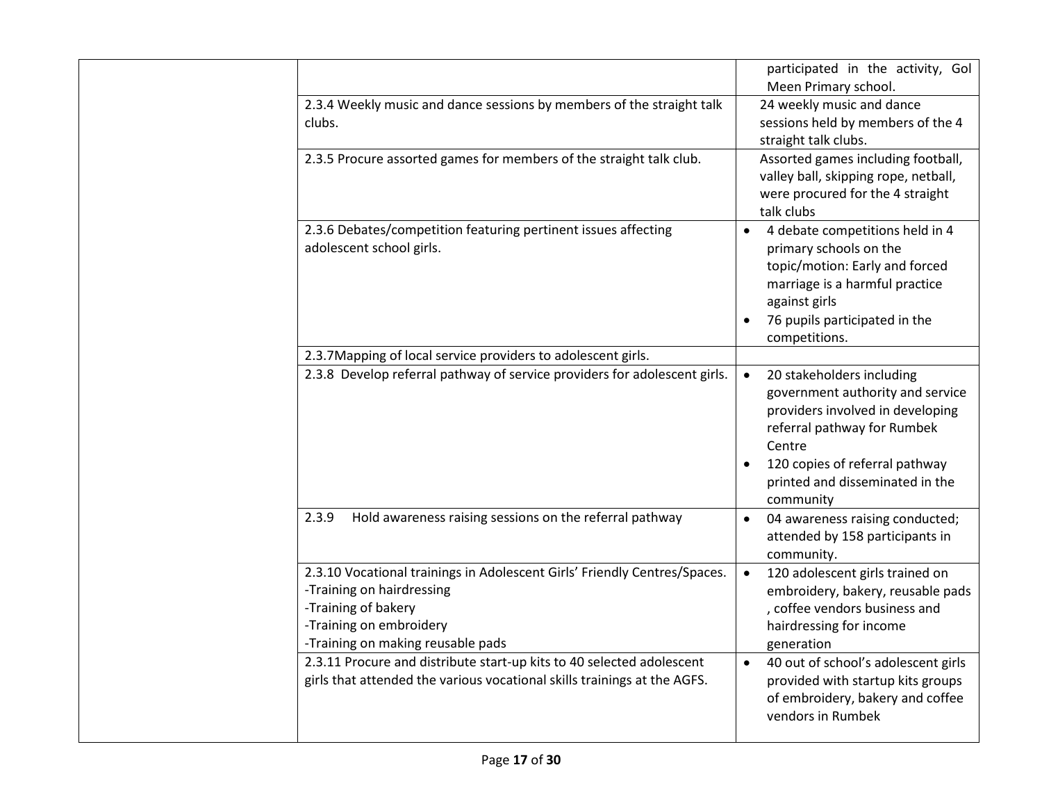|  |                                                                                                                                                                                               | participated in the activity, Gol<br>Meen Primary school.                                                                                                                                        |
|--|-----------------------------------------------------------------------------------------------------------------------------------------------------------------------------------------------|--------------------------------------------------------------------------------------------------------------------------------------------------------------------------------------------------|
|  | 2.3.4 Weekly music and dance sessions by members of the straight talk<br>clubs.                                                                                                               | 24 weekly music and dance<br>sessions held by members of the 4<br>straight talk clubs.                                                                                                           |
|  | 2.3.5 Procure assorted games for members of the straight talk club.                                                                                                                           | Assorted games including football,<br>valley ball, skipping rope, netball,<br>were procured for the 4 straight<br>talk clubs                                                                     |
|  | 2.3.6 Debates/competition featuring pertinent issues affecting<br>adolescent school girls.                                                                                                    | 4 debate competitions held in 4<br>primary schools on the<br>topic/motion: Early and forced<br>marriage is a harmful practice<br>against girls<br>76 pupils participated in the<br>competitions. |
|  | 2.3.7Mapping of local service providers to adolescent girls.                                                                                                                                  |                                                                                                                                                                                                  |
|  | 2.3.8 Develop referral pathway of service providers for adolescent girls.                                                                                                                     | 20 stakeholders including<br>$\bullet$<br>government authority and service<br>providers involved in developing<br>referral pathway for Rumbek<br>Centre<br>120 copies of referral pathway        |
|  |                                                                                                                                                                                               | printed and disseminated in the<br>community                                                                                                                                                     |
|  | Hold awareness raising sessions on the referral pathway<br>2.3.9                                                                                                                              | 04 awareness raising conducted;<br>$\bullet$<br>attended by 158 participants in<br>community.                                                                                                    |
|  | 2.3.10 Vocational trainings in Adolescent Girls' Friendly Centres/Spaces.<br>-Training on hairdressing<br>-Training of bakery<br>-Training on embroidery<br>-Training on making reusable pads | 120 adolescent girls trained on<br>$\bullet$<br>embroidery, bakery, reusable pads<br>, coffee vendors business and<br>hairdressing for income<br>generation                                      |
|  | 2.3.11 Procure and distribute start-up kits to 40 selected adolescent<br>girls that attended the various vocational skills trainings at the AGFS.                                             | 40 out of school's adolescent girls<br>$\bullet$<br>provided with startup kits groups<br>of embroidery, bakery and coffee<br>vendors in Rumbek                                                   |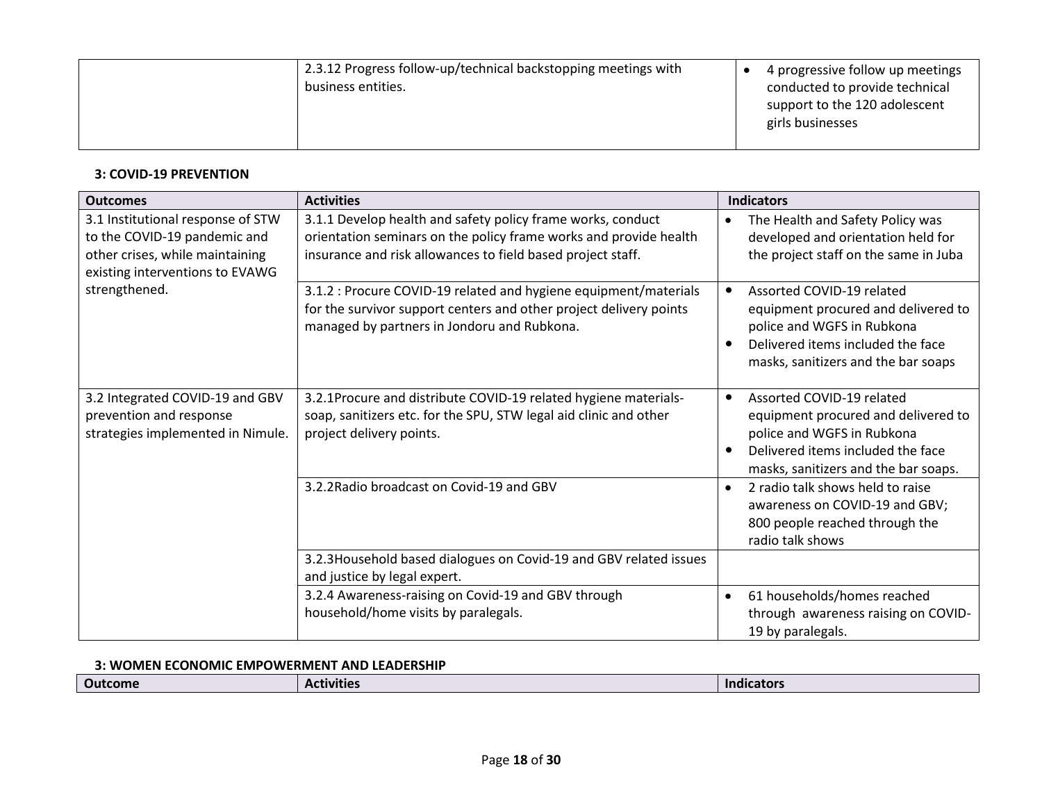| 2.3.12 Progress follow-up/technical backstopping meetings with<br>business entities. |  | 4 progressive follow up meetings<br>conducted to provide technical<br>support to the 120 adolescent<br>girls businesses |
|--------------------------------------------------------------------------------------|--|-------------------------------------------------------------------------------------------------------------------------|
|--------------------------------------------------------------------------------------|--|-------------------------------------------------------------------------------------------------------------------------|

## **3: COVID-19 PREVENTION**

| <b>Outcomes</b>                                                                                                                         | <b>Activities</b>                                                                                                                                                                               | <b>Indicators</b>                                                                                                                                                                        |
|-----------------------------------------------------------------------------------------------------------------------------------------|-------------------------------------------------------------------------------------------------------------------------------------------------------------------------------------------------|------------------------------------------------------------------------------------------------------------------------------------------------------------------------------------------|
| 3.1 Institutional response of STW<br>to the COVID-19 pandemic and<br>other crises, while maintaining<br>existing interventions to EVAWG | 3.1.1 Develop health and safety policy frame works, conduct<br>orientation seminars on the policy frame works and provide health<br>insurance and risk allowances to field based project staff. | The Health and Safety Policy was<br>$\bullet$<br>developed and orientation held for<br>the project staff on the same in Juba                                                             |
| strengthened.                                                                                                                           | 3.1.2 : Procure COVID-19 related and hygiene equipment/materials<br>for the survivor support centers and other project delivery points<br>managed by partners in Jondoru and Rubkona.           | Assorted COVID-19 related<br>equipment procured and delivered to<br>police and WGFS in Rubkona<br>Delivered items included the face<br>masks, sanitizers and the bar soaps               |
| 3.2 Integrated COVID-19 and GBV<br>prevention and response<br>strategies implemented in Nimule.                                         | 3.2.1Procure and distribute COVID-19 related hygiene materials-<br>soap, sanitizers etc. for the SPU, STW legal aid clinic and other<br>project delivery points.                                | Assorted COVID-19 related<br>$\bullet$<br>equipment procured and delivered to<br>police and WGFS in Rubkona<br>Delivered items included the face<br>masks, sanitizers and the bar soaps. |
|                                                                                                                                         | 3.2.2 Radio broadcast on Covid-19 and GBV                                                                                                                                                       | 2 radio talk shows held to raise<br>$\bullet$<br>awareness on COVID-19 and GBV;<br>800 people reached through the<br>radio talk shows                                                    |
|                                                                                                                                         | 3.2.3 Household based dialogues on Covid-19 and GBV related issues<br>and justice by legal expert.                                                                                              |                                                                                                                                                                                          |
|                                                                                                                                         | 3.2.4 Awareness-raising on Covid-19 and GBV through<br>household/home visits by paralegals.                                                                                                     | 61 households/homes reached<br>$\bullet$<br>through awareness raising on COVID-<br>19 by paralegals.                                                                                     |

### **3: WOMEN ECONOMIC EMPOWERMENT AND LEADERSHIP**

| Outcome<br>.<br><b>Activities</b><br><b>E</b> Indicato.<br>___ |  |
|----------------------------------------------------------------|--|
|----------------------------------------------------------------|--|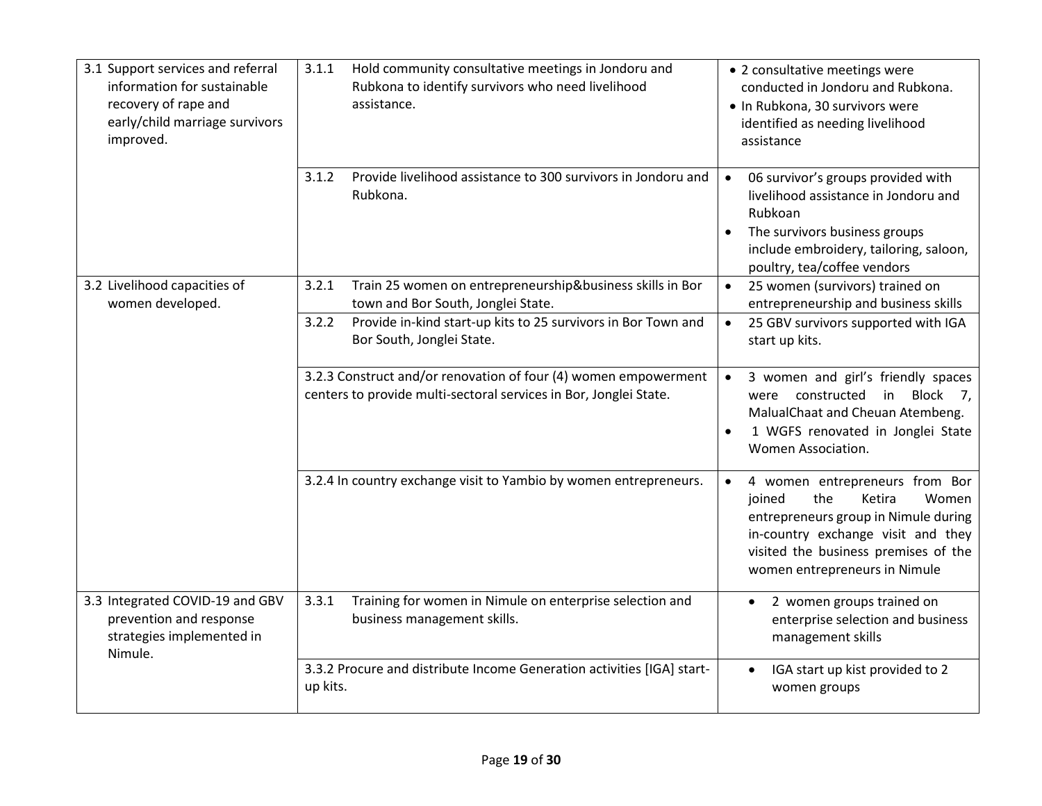| 3.1 Support services and referral<br>information for sustainable<br>recovery of rape and<br>early/child marriage survivors<br>improved. | 3.1.1<br>Hold community consultative meetings in Jondoru and<br>Rubkona to identify survivors who need livelihood<br>assistance.     | • 2 consultative meetings were<br>conducted in Jondoru and Rubkona.<br>· In Rubkona, 30 survivors were<br>identified as needing livelihood<br>assistance                                                                               |
|-----------------------------------------------------------------------------------------------------------------------------------------|--------------------------------------------------------------------------------------------------------------------------------------|----------------------------------------------------------------------------------------------------------------------------------------------------------------------------------------------------------------------------------------|
|                                                                                                                                         | Provide livelihood assistance to 300 survivors in Jondoru and<br>3.1.2<br>Rubkona.                                                   | 06 survivor's groups provided with<br>$\bullet$<br>livelihood assistance in Jondoru and<br>Rubkoan<br>The survivors business groups<br>include embroidery, tailoring, saloon,<br>poultry, tea/coffee vendors                           |
| 3.2 Livelihood capacities of<br>women developed.                                                                                        | 3.2.1<br>Train 25 women on entrepreneurship&business skills in Bor<br>town and Bor South, Jonglei State.                             | 25 women (survivors) trained on<br>$\bullet$<br>entrepreneurship and business skills                                                                                                                                                   |
|                                                                                                                                         | 3.2.2<br>Provide in-kind start-up kits to 25 survivors in Bor Town and<br>Bor South, Jonglei State.                                  | 25 GBV survivors supported with IGA<br>$\bullet$<br>start up kits.                                                                                                                                                                     |
|                                                                                                                                         | 3.2.3 Construct and/or renovation of four (4) women empowerment<br>centers to provide multi-sectoral services in Bor, Jonglei State. | 3 women and girl's friendly spaces<br>$\bullet$<br>were constructed<br>in Block 7,<br>MalualChaat and Cheuan Atembeng.<br>1 WGFS renovated in Jonglei State<br>Women Association.                                                      |
|                                                                                                                                         | 3.2.4 In country exchange visit to Yambio by women entrepreneurs.                                                                    | 4 women entrepreneurs from Bor<br>$\bullet$<br>the<br>joined<br>Ketira<br>Women<br>entrepreneurs group in Nimule during<br>in-country exchange visit and they<br>visited the business premises of the<br>women entrepreneurs in Nimule |
| 3.3 Integrated COVID-19 and GBV<br>prevention and response<br>strategies implemented in<br>Nimule.                                      | Training for women in Nimule on enterprise selection and<br>3.3.1<br>business management skills.                                     | 2 women groups trained on<br>$\bullet$<br>enterprise selection and business<br>management skills                                                                                                                                       |
|                                                                                                                                         | 3.3.2 Procure and distribute Income Generation activities [IGA] start-<br>up kits.                                                   | IGA start up kist provided to 2<br>women groups                                                                                                                                                                                        |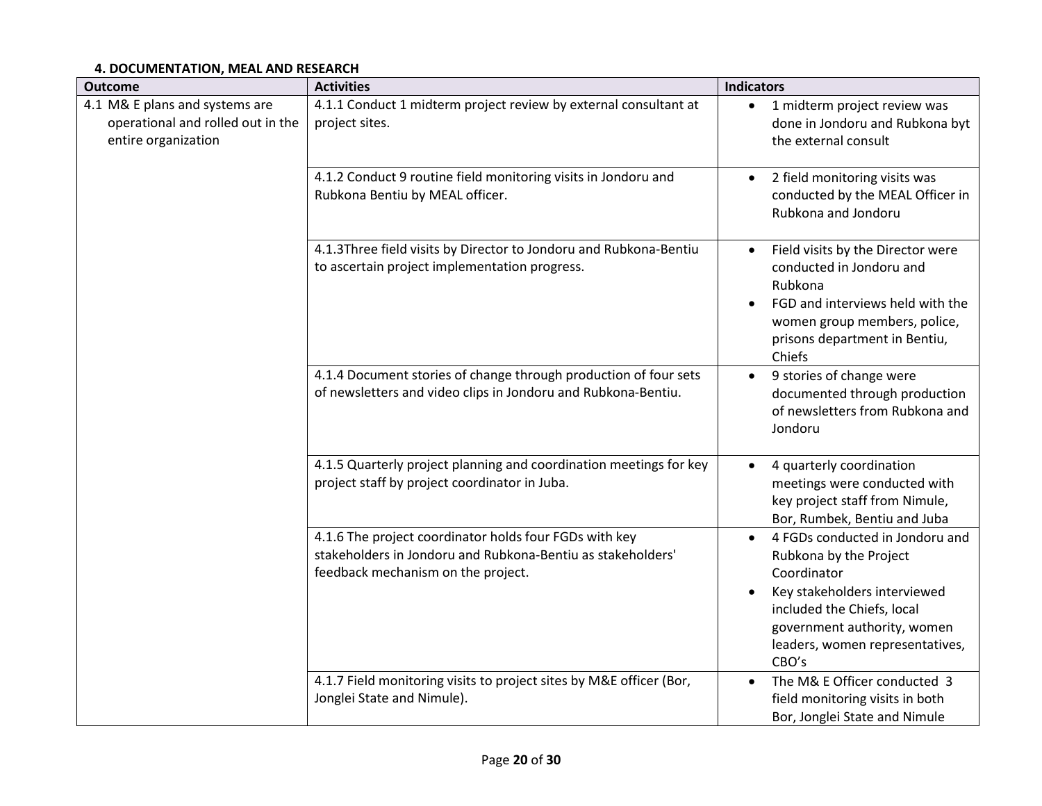# **4. DOCUMENTATION, MEAL AND RESEARCH**

| <b>Outcome</b>                                                                             | <b>Activities</b>                                                                                                                                           | <b>Indicators</b>                                                                                                                                                                                                              |
|--------------------------------------------------------------------------------------------|-------------------------------------------------------------------------------------------------------------------------------------------------------------|--------------------------------------------------------------------------------------------------------------------------------------------------------------------------------------------------------------------------------|
| 4.1 M& E plans and systems are<br>operational and rolled out in the<br>entire organization | 4.1.1 Conduct 1 midterm project review by external consultant at<br>project sites.                                                                          | 1 midterm project review was<br>$\bullet$<br>done in Jondoru and Rubkona byt<br>the external consult                                                                                                                           |
|                                                                                            | 4.1.2 Conduct 9 routine field monitoring visits in Jondoru and<br>Rubkona Bentiu by MEAL officer.                                                           | 2 field monitoring visits was<br>$\bullet$<br>conducted by the MEAL Officer in<br>Rubkona and Jondoru                                                                                                                          |
|                                                                                            | 4.1.3Three field visits by Director to Jondoru and Rubkona-Bentiu<br>to ascertain project implementation progress.                                          | Field visits by the Director were<br>$\bullet$<br>conducted in Jondoru and<br>Rubkona<br>FGD and interviews held with the<br>women group members, police,<br>prisons department in Bentiu,<br>Chiefs                           |
|                                                                                            | 4.1.4 Document stories of change through production of four sets<br>of newsletters and video clips in Jondoru and Rubkona-Bentiu.                           | 9 stories of change were<br>$\bullet$<br>documented through production<br>of newsletters from Rubkona and<br>Jondoru                                                                                                           |
|                                                                                            | 4.1.5 Quarterly project planning and coordination meetings for key<br>project staff by project coordinator in Juba.                                         | 4 quarterly coordination<br>$\bullet$<br>meetings were conducted with<br>key project staff from Nimule,<br>Bor, Rumbek, Bentiu and Juba                                                                                        |
|                                                                                            | 4.1.6 The project coordinator holds four FGDs with key<br>stakeholders in Jondoru and Rubkona-Bentiu as stakeholders'<br>feedback mechanism on the project. | 4 FGDs conducted in Jondoru and<br>$\bullet$<br>Rubkona by the Project<br>Coordinator<br>Key stakeholders interviewed<br>included the Chiefs, local<br>government authority, women<br>leaders, women representatives,<br>CBO's |
|                                                                                            | 4.1.7 Field monitoring visits to project sites by M&E officer (Bor,<br>Jonglei State and Nimule).                                                           | The M& E Officer conducted 3<br>field monitoring visits in both<br>Bor, Jonglei State and Nimule                                                                                                                               |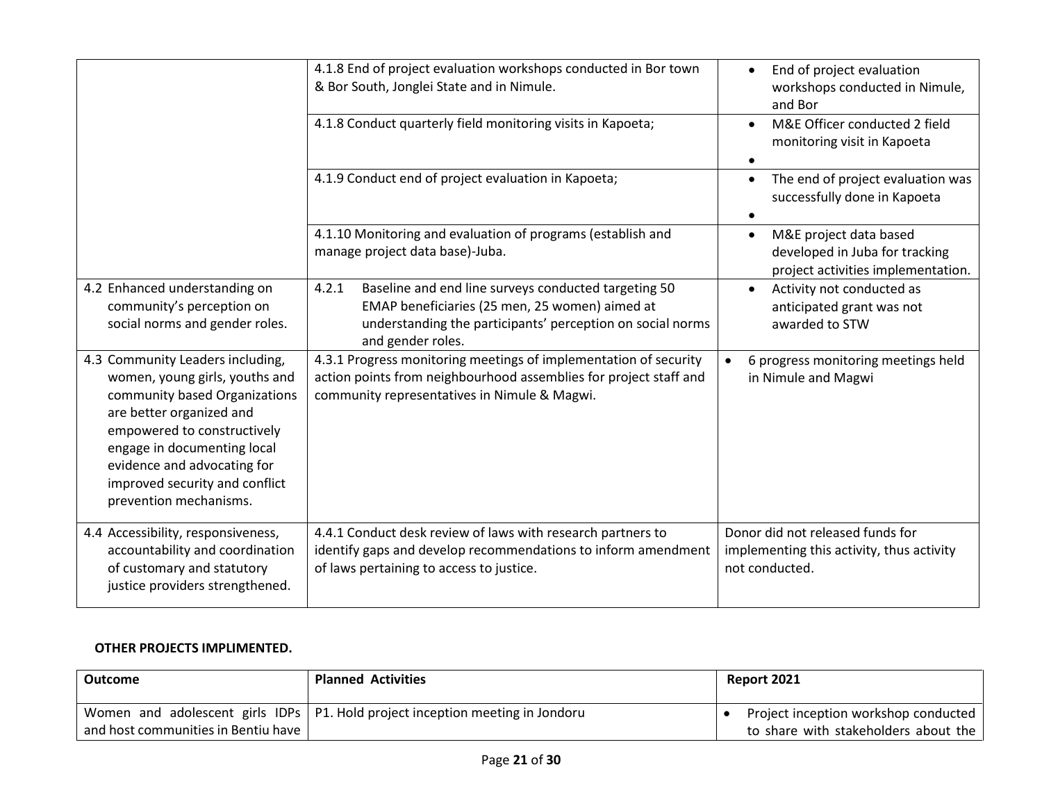|                                                                                                                                                                                                                                                                                          | 4.1.8 End of project evaluation workshops conducted in Bor town<br>& Bor South, Jonglei State and in Nimule.                                                                                       | End of project evaluation<br>$\bullet$<br>workshops conducted in Nimule,<br>and Bor                         |
|------------------------------------------------------------------------------------------------------------------------------------------------------------------------------------------------------------------------------------------------------------------------------------------|----------------------------------------------------------------------------------------------------------------------------------------------------------------------------------------------------|-------------------------------------------------------------------------------------------------------------|
|                                                                                                                                                                                                                                                                                          | 4.1.8 Conduct quarterly field monitoring visits in Kapoeta;                                                                                                                                        | M&E Officer conducted 2 field<br>monitoring visit in Kapoeta                                                |
|                                                                                                                                                                                                                                                                                          | 4.1.9 Conduct end of project evaluation in Kapoeta;                                                                                                                                                | The end of project evaluation was<br>$\bullet$<br>successfully done in Kapoeta                              |
|                                                                                                                                                                                                                                                                                          | 4.1.10 Monitoring and evaluation of programs (establish and<br>manage project data base)-Juba.                                                                                                     | M&E project data based<br>$\bullet$<br>developed in Juba for tracking<br>project activities implementation. |
| 4.2 Enhanced understanding on<br>community's perception on<br>social norms and gender roles.                                                                                                                                                                                             | Baseline and end line surveys conducted targeting 50<br>4.2.1<br>EMAP beneficiaries (25 men, 25 women) aimed at<br>understanding the participants' perception on social norms<br>and gender roles. | Activity not conducted as<br>$\bullet$<br>anticipated grant was not<br>awarded to STW                       |
| 4.3 Community Leaders including,<br>women, young girls, youths and<br>community based Organizations<br>are better organized and<br>empowered to constructively<br>engage in documenting local<br>evidence and advocating for<br>improved security and conflict<br>prevention mechanisms. | 4.3.1 Progress monitoring meetings of implementation of security<br>action points from neighbourhood assemblies for project staff and<br>community representatives in Nimule & Magwi.              | 6 progress monitoring meetings held<br>in Nimule and Magwi                                                  |
| 4.4 Accessibility, responsiveness,<br>accountability and coordination<br>of customary and statutory<br>justice providers strengthened.                                                                                                                                                   | 4.4.1 Conduct desk review of laws with research partners to<br>identify gaps and develop recommendations to inform amendment<br>of laws pertaining to access to justice.                           | Donor did not released funds for<br>implementing this activity, thus activity<br>not conducted.             |

### **OTHER PROJECTS IMPLIMENTED.**

| <b>Outcome</b>                        | <b>Planned Activities</b>                                                       | Report 2021                          |
|---------------------------------------|---------------------------------------------------------------------------------|--------------------------------------|
|                                       | Women and adolescent girls IDPs   P1. Hold project inception meeting in Jondoru | Project inception workshop conducted |
| and host communities in Bentiu have 1 |                                                                                 | to share with stakeholders about the |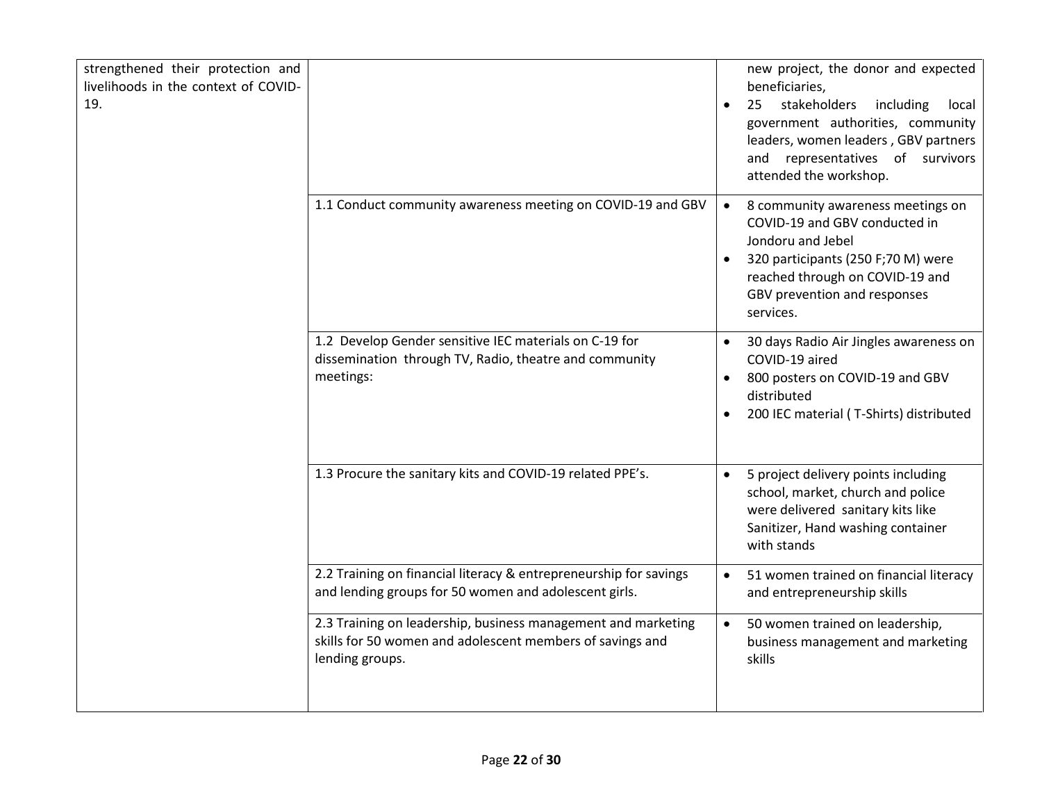| strengthened their protection and<br>livelihoods in the context of COVID-<br>19. |                                                                                                                                               | new project, the donor and expected<br>beneficiaries,<br>stakeholders<br>25<br>including<br>local<br>$\bullet$<br>government authorities, community<br>leaders, women leaders, GBV partners<br>representatives of survivors<br>and<br>attended the workshop. |
|----------------------------------------------------------------------------------|-----------------------------------------------------------------------------------------------------------------------------------------------|--------------------------------------------------------------------------------------------------------------------------------------------------------------------------------------------------------------------------------------------------------------|
|                                                                                  | 1.1 Conduct community awareness meeting on COVID-19 and GBV                                                                                   | 8 community awareness meetings on<br>$\bullet$<br>COVID-19 and GBV conducted in<br>Jondoru and Jebel<br>320 participants (250 F;70 M) were<br>reached through on COVID-19 and<br>GBV prevention and responses<br>services.                                   |
|                                                                                  | 1.2 Develop Gender sensitive IEC materials on C-19 for<br>dissemination through TV, Radio, theatre and community<br>meetings:                 | 30 days Radio Air Jingles awareness on<br>COVID-19 aired<br>800 posters on COVID-19 and GBV<br>distributed<br>200 IEC material (T-Shirts) distributed                                                                                                        |
|                                                                                  | 1.3 Procure the sanitary kits and COVID-19 related PPE's.                                                                                     | 5 project delivery points including<br>$\bullet$<br>school, market, church and police<br>were delivered sanitary kits like<br>Sanitizer, Hand washing container<br>with stands                                                                               |
|                                                                                  | 2.2 Training on financial literacy & entrepreneurship for savings<br>and lending groups for 50 women and adolescent girls.                    | 51 women trained on financial literacy<br>and entrepreneurship skills                                                                                                                                                                                        |
|                                                                                  | 2.3 Training on leadership, business management and marketing<br>skills for 50 women and adolescent members of savings and<br>lending groups. | 50 women trained on leadership,<br>business management and marketing<br>skills                                                                                                                                                                               |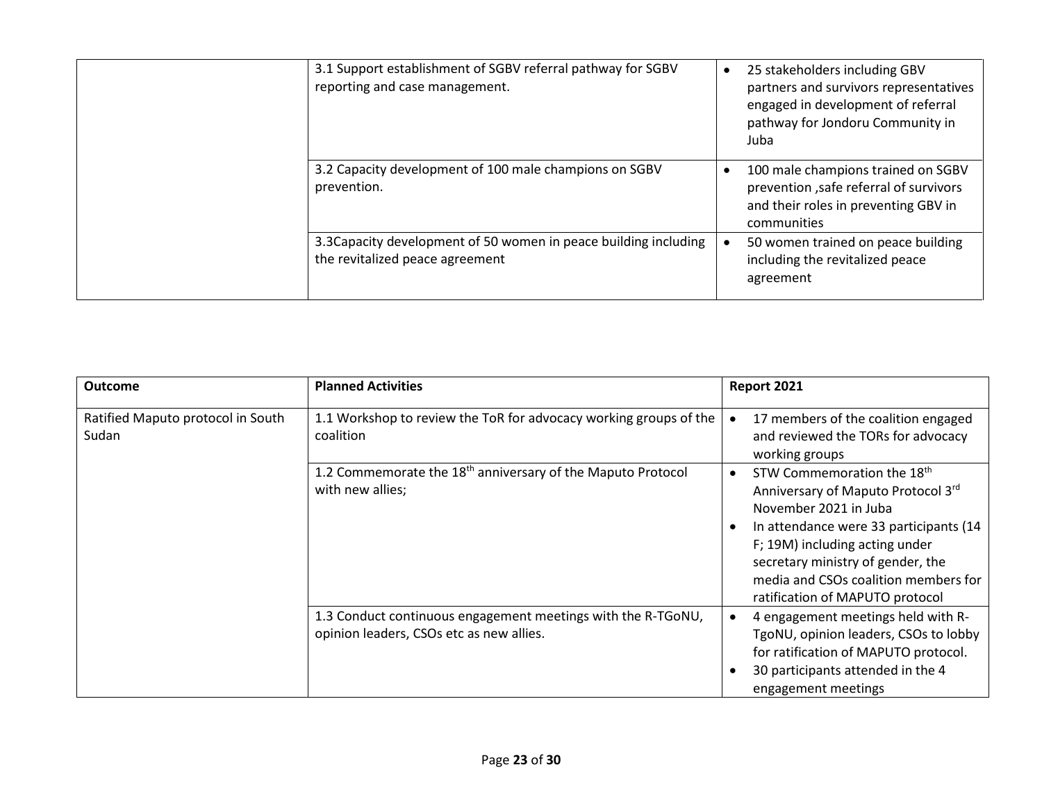|  | 3.1 Support establishment of SGBV referral pathway for SGBV<br>reporting and case management.       | 25 stakeholders including GBV<br>partners and survivors representatives<br>engaged in development of referral<br>pathway for Jondoru Community in<br>Juba |
|--|-----------------------------------------------------------------------------------------------------|-----------------------------------------------------------------------------------------------------------------------------------------------------------|
|  | 3.2 Capacity development of 100 male champions on SGBV<br>prevention.                               | 100 male champions trained on SGBV<br>prevention, safe referral of survivors<br>and their roles in preventing GBV in<br>communities                       |
|  | 3.3 Capacity development of 50 women in peace building including<br>the revitalized peace agreement | 50 women trained on peace building<br>including the revitalized peace<br>agreement                                                                        |

| <b>Outcome</b>                             | <b>Planned Activities</b>                                                                                | Report 2021                                                                                                                                                                                                                                                                                       |
|--------------------------------------------|----------------------------------------------------------------------------------------------------------|---------------------------------------------------------------------------------------------------------------------------------------------------------------------------------------------------------------------------------------------------------------------------------------------------|
| Ratified Maputo protocol in South<br>Sudan | 1.1 Workshop to review the ToR for advocacy working groups of the<br>coalition                           | 17 members of the coalition engaged<br>and reviewed the TORs for advocacy<br>working groups                                                                                                                                                                                                       |
|                                            | 1.2 Commemorate the 18 <sup>th</sup> anniversary of the Maputo Protocol<br>with new allies;              | STW Commemoration the 18 <sup>th</sup><br>Anniversary of Maputo Protocol 3rd<br>November 2021 in Juba<br>In attendance were 33 participants (14<br>F; 19M) including acting under<br>secretary ministry of gender, the<br>media and CSOs coalition members for<br>ratification of MAPUTO protocol |
|                                            | 1.3 Conduct continuous engagement meetings with the R-TGoNU,<br>opinion leaders, CSOs etc as new allies. | 4 engagement meetings held with R-<br>TgoNU, opinion leaders, CSOs to lobby<br>for ratification of MAPUTO protocol.<br>30 participants attended in the 4<br>engagement meetings                                                                                                                   |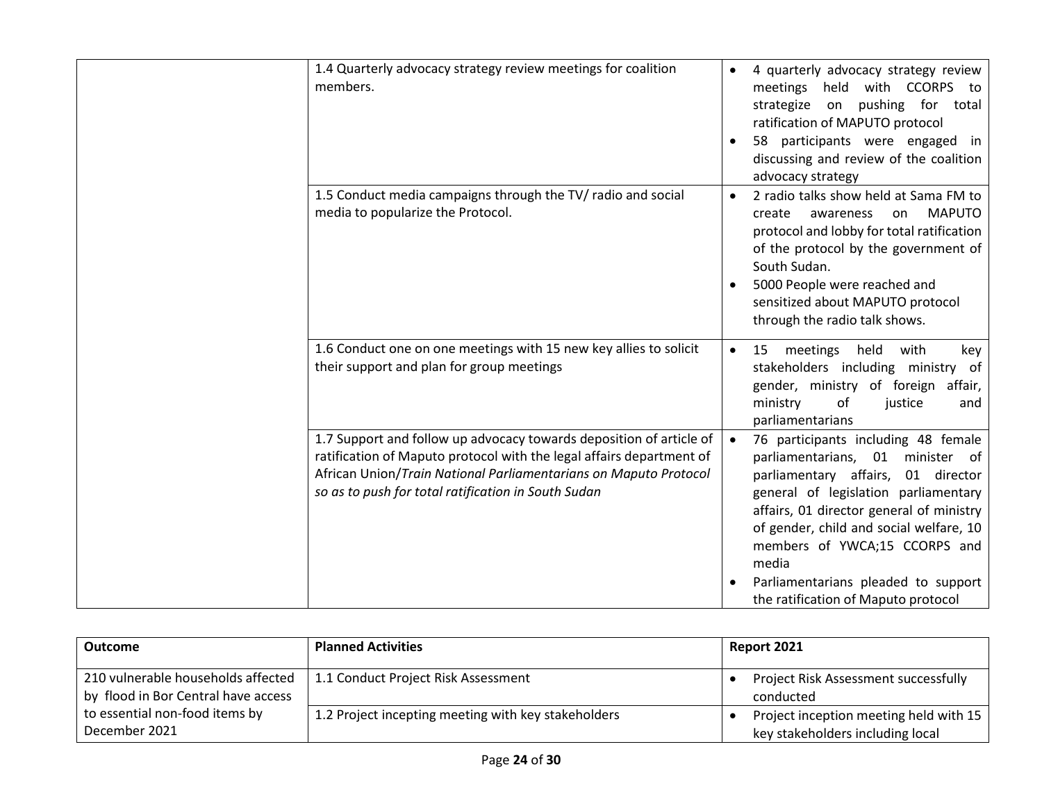| 1.4 Quarterly advocacy strategy review meetings for coalition<br>members.                                                                                                                                                                                              | 4 quarterly advocacy strategy review<br>$\bullet$<br>held<br>with CCORPS to<br>meetings<br>on pushing for total<br>strategize<br>ratification of MAPUTO protocol<br>58 participants were engaged in<br>discussing and review of the coalition<br>advocacy strategy                                                                                                                |
|------------------------------------------------------------------------------------------------------------------------------------------------------------------------------------------------------------------------------------------------------------------------|-----------------------------------------------------------------------------------------------------------------------------------------------------------------------------------------------------------------------------------------------------------------------------------------------------------------------------------------------------------------------------------|
| 1.5 Conduct media campaigns through the TV/ radio and social<br>media to popularize the Protocol.                                                                                                                                                                      | 2 radio talks show held at Sama FM to<br>$\bullet$<br><b>MAPUTO</b><br>create<br>awareness<br>on<br>protocol and lobby for total ratification<br>of the protocol by the government of<br>South Sudan.<br>5000 People were reached and<br>sensitized about MAPUTO protocol<br>through the radio talk shows.                                                                        |
| 1.6 Conduct one on one meetings with 15 new key allies to solicit<br>their support and plan for group meetings                                                                                                                                                         | held<br>with<br>15<br>meetings<br>key<br>$\bullet$<br>stakeholders including ministry of<br>gender, ministry of foreign affair,<br>ministry<br>of<br>justice<br>and<br>parliamentarians                                                                                                                                                                                           |
| 1.7 Support and follow up advocacy towards deposition of article of<br>ratification of Maputo protocol with the legal affairs department of<br>African Union/Train National Parliamentarians on Maputo Protocol<br>so as to push for total ratification in South Sudan | 76 participants including 48 female<br>$\bullet$<br>parliamentarians, 01 minister of<br>parliamentary affairs, 01 director<br>general of legislation parliamentary<br>affairs, 01 director general of ministry<br>of gender, child and social welfare, 10<br>members of YWCA;15 CCORPS and<br>media<br>Parliamentarians pleaded to support<br>the ratification of Maputo protocol |

| <b>Outcome</b>                                                            | <b>Planned Activities</b>                           | Report 2021                                                                |
|---------------------------------------------------------------------------|-----------------------------------------------------|----------------------------------------------------------------------------|
| 210 vulnerable households affected<br>by flood in Bor Central have access | 1.1 Conduct Project Risk Assessment                 | <b>Project Risk Assessment successfully</b><br>conducted                   |
| to essential non-food items by<br>December 2021                           | 1.2 Project incepting meeting with key stakeholders | Project inception meeting held with 15<br>key stakeholders including local |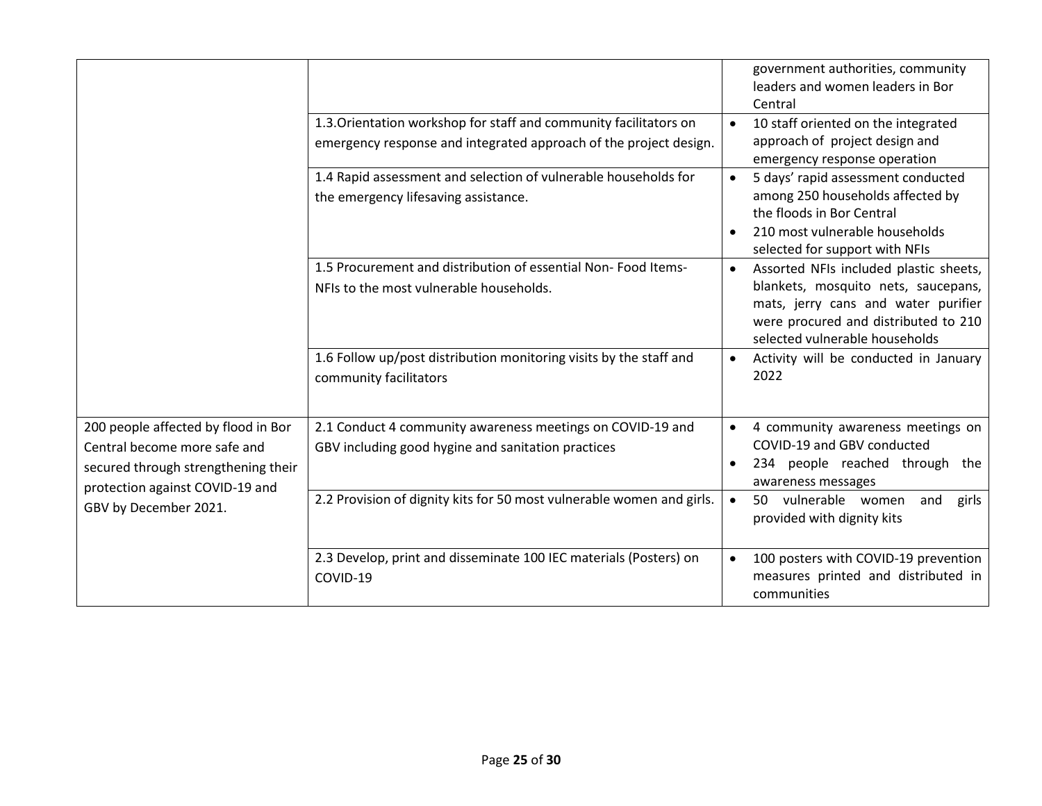|                                                                                                                                                                        |                                                                                                                                        | government authorities, community<br>leaders and women leaders in Bor<br>Central                                                                                                                            |
|------------------------------------------------------------------------------------------------------------------------------------------------------------------------|----------------------------------------------------------------------------------------------------------------------------------------|-------------------------------------------------------------------------------------------------------------------------------------------------------------------------------------------------------------|
|                                                                                                                                                                        | 1.3. Orientation workshop for staff and community facilitators on<br>emergency response and integrated approach of the project design. | 10 staff oriented on the integrated<br>approach of project design and<br>emergency response operation                                                                                                       |
|                                                                                                                                                                        | 1.4 Rapid assessment and selection of vulnerable households for<br>the emergency lifesaving assistance.                                | 5 days' rapid assessment conducted<br>$\bullet$<br>among 250 households affected by<br>the floods in Bor Central<br>210 most vulnerable households<br>$\bullet$<br>selected for support with NFIs           |
|                                                                                                                                                                        | 1.5 Procurement and distribution of essential Non-Food Items-<br>NFIs to the most vulnerable households.                               | Assorted NFIs included plastic sheets,<br>$\bullet$<br>blankets, mosquito nets, saucepans,<br>mats, jerry cans and water purifier<br>were procured and distributed to 210<br>selected vulnerable households |
|                                                                                                                                                                        | 1.6 Follow up/post distribution monitoring visits by the staff and<br>community facilitators                                           | Activity will be conducted in January<br>2022                                                                                                                                                               |
| 200 people affected by flood in Bor<br>Central become more safe and<br>secured through strengthening their<br>protection against COVID-19 and<br>GBV by December 2021. | 2.1 Conduct 4 community awareness meetings on COVID-19 and<br>GBV including good hygine and sanitation practices                       | 4 community awareness meetings on<br>COVID-19 and GBV conducted<br>234 people reached through the<br>$\bullet$<br>awareness messages                                                                        |
|                                                                                                                                                                        | 2.2 Provision of dignity kits for 50 most vulnerable women and girls.                                                                  | vulnerable women<br>$\bullet$<br>50<br>and<br>girls<br>provided with dignity kits                                                                                                                           |
|                                                                                                                                                                        | 2.3 Develop, print and disseminate 100 IEC materials (Posters) on<br>COVID-19                                                          | 100 posters with COVID-19 prevention<br>$\bullet$<br>measures printed and distributed in<br>communities                                                                                                     |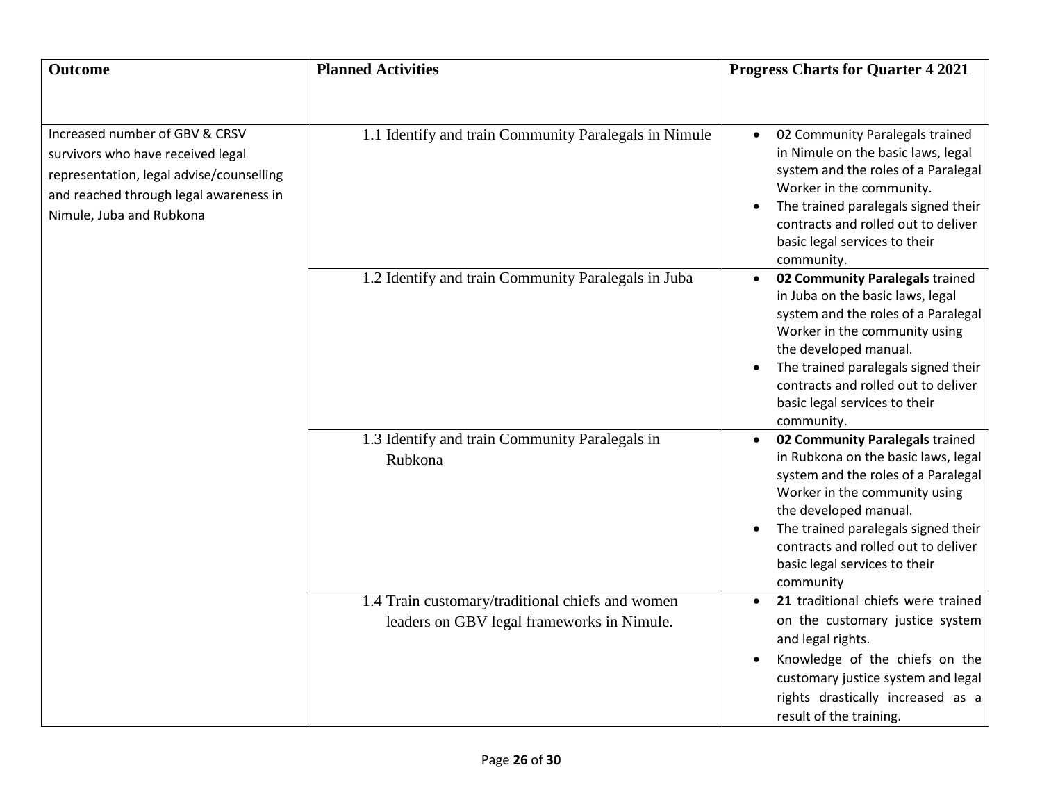| <b>Outcome</b>                                                                                                                                                                        | <b>Planned Activities</b>                                 | <b>Progress Charts for Quarter 4 2021</b>                                                                                                                                                                                                                                                                        |
|---------------------------------------------------------------------------------------------------------------------------------------------------------------------------------------|-----------------------------------------------------------|------------------------------------------------------------------------------------------------------------------------------------------------------------------------------------------------------------------------------------------------------------------------------------------------------------------|
|                                                                                                                                                                                       |                                                           |                                                                                                                                                                                                                                                                                                                  |
| Increased number of GBV & CRSV<br>survivors who have received legal<br>representation, legal advise/counselling<br>and reached through legal awareness in<br>Nimule, Juba and Rubkona | 1.1 Identify and train Community Paralegals in Nimule     | 02 Community Paralegals trained<br>in Nimule on the basic laws, legal<br>system and the roles of a Paralegal<br>Worker in the community.<br>The trained paralegals signed their<br>contracts and rolled out to deliver<br>basic legal services to their<br>community.                                            |
|                                                                                                                                                                                       | 1.2 Identify and train Community Paralegals in Juba       | 02 Community Paralegals trained<br>in Juba on the basic laws, legal<br>system and the roles of a Paralegal<br>Worker in the community using<br>the developed manual.<br>The trained paralegals signed their<br>contracts and rolled out to deliver<br>basic legal services to their<br>community.                |
|                                                                                                                                                                                       | 1.3 Identify and train Community Paralegals in<br>Rubkona | 02 Community Paralegals trained<br>in Rubkona on the basic laws, legal<br>system and the roles of a Paralegal<br>Worker in the community using<br>the developed manual.<br>The trained paralegals signed their<br>$\bullet$<br>contracts and rolled out to deliver<br>basic legal services to their<br>community |
|                                                                                                                                                                                       | 1.4 Train customary/traditional chiefs and women          | 21 traditional chiefs were trained                                                                                                                                                                                                                                                                               |
|                                                                                                                                                                                       | leaders on GBV legal frameworks in Nimule.                | on the customary justice system<br>and legal rights.<br>Knowledge of the chiefs on the<br>customary justice system and legal<br>rights drastically increased as a<br>result of the training.                                                                                                                     |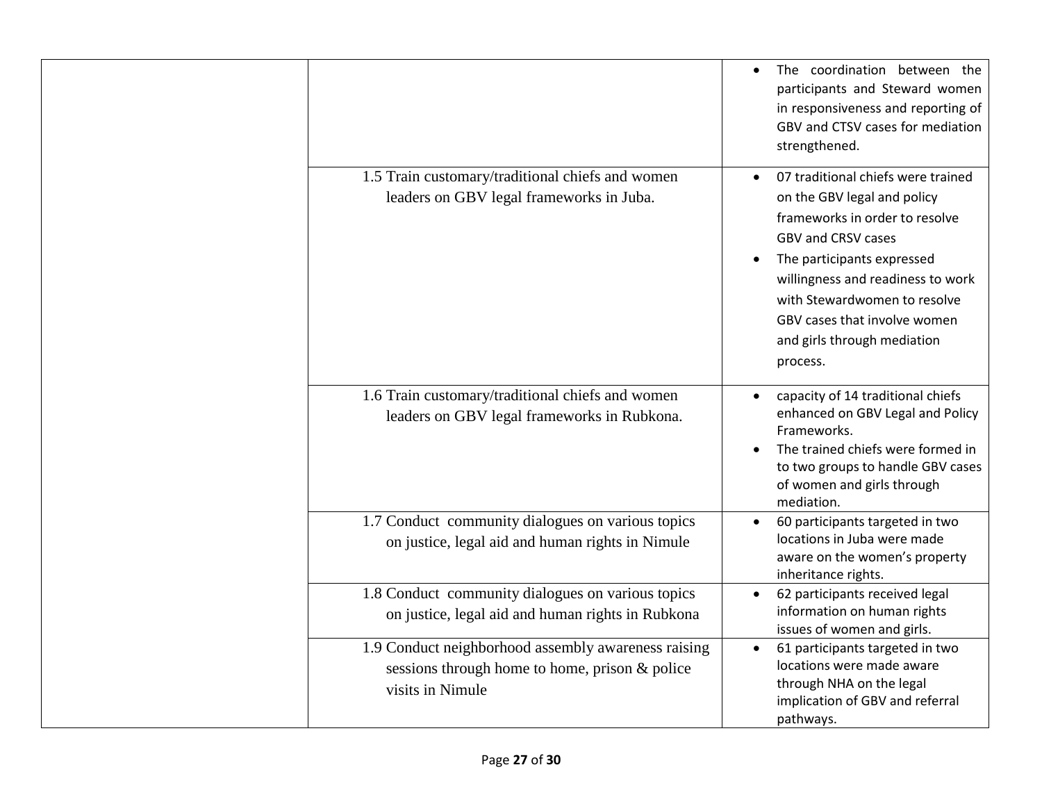|                                                                                                                           | The coordination between the<br>participants and Steward women<br>in responsiveness and reporting of<br>GBV and CTSV cases for mediation<br>strengthened.                                                                                                                                                                                |
|---------------------------------------------------------------------------------------------------------------------------|------------------------------------------------------------------------------------------------------------------------------------------------------------------------------------------------------------------------------------------------------------------------------------------------------------------------------------------|
| 1.5 Train customary/traditional chiefs and women<br>leaders on GBV legal frameworks in Juba.                              | 07 traditional chiefs were trained<br>$\bullet$<br>on the GBV legal and policy<br>frameworks in order to resolve<br><b>GBV and CRSV cases</b><br>The participants expressed<br>$\bullet$<br>willingness and readiness to work<br>with Stewardwomen to resolve<br>GBV cases that involve women<br>and girls through mediation<br>process. |
| 1.6 Train customary/traditional chiefs and women<br>leaders on GBV legal frameworks in Rubkona.                           | capacity of 14 traditional chiefs<br>enhanced on GBV Legal and Policy<br>Frameworks.<br>The trained chiefs were formed in<br>to two groups to handle GBV cases<br>of women and girls through<br>mediation.                                                                                                                               |
| 1.7 Conduct community dialogues on various topics<br>on justice, legal aid and human rights in Nimule                     | 60 participants targeted in two<br>locations in Juba were made<br>aware on the women's property<br>inheritance rights.                                                                                                                                                                                                                   |
| 1.8 Conduct community dialogues on various topics<br>on justice, legal aid and human rights in Rubkona                    | 62 participants received legal<br>information on human rights<br>issues of women and girls.                                                                                                                                                                                                                                              |
| 1.9 Conduct neighborhood assembly awareness raising<br>sessions through home to home, prison & police<br>visits in Nimule | 61 participants targeted in two<br>locations were made aware<br>through NHA on the legal<br>implication of GBV and referral<br>pathways.                                                                                                                                                                                                 |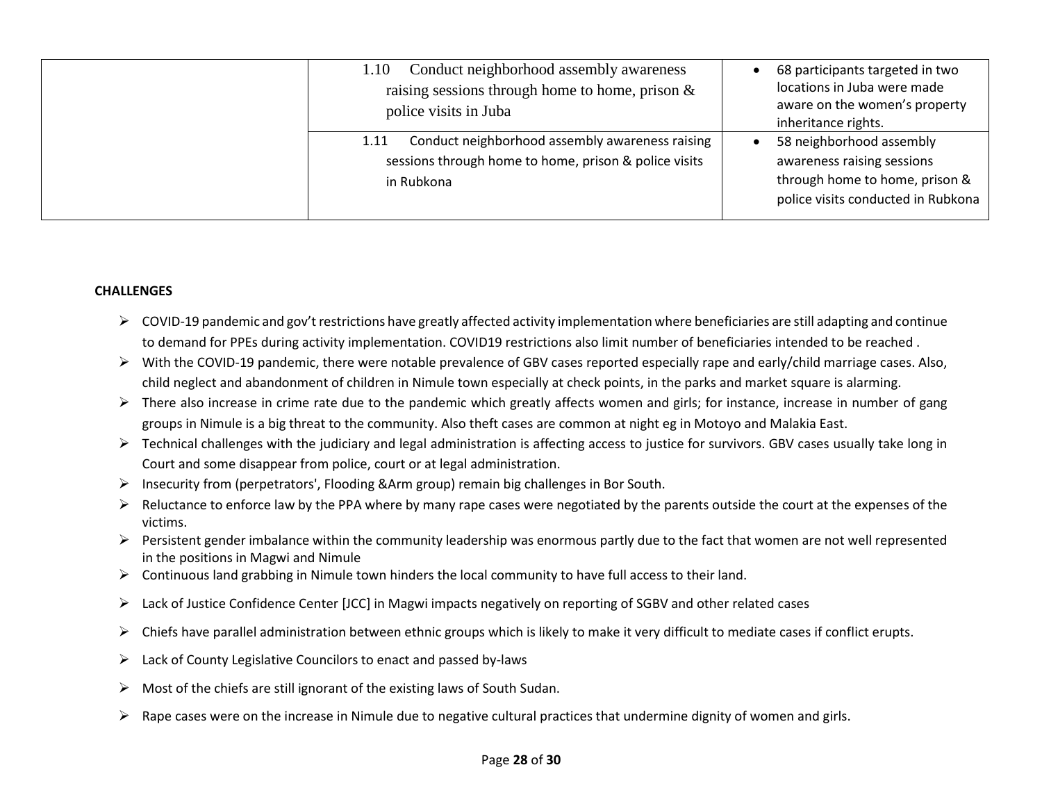| Conduct neighborhood assembly awareness<br>1.10<br>raising sessions through home to home, prison $\&$<br>police visits in Juba | 68 participants targeted in two<br>locations in Juba were made<br>aware on the women's property<br>inheritance rights.         |
|--------------------------------------------------------------------------------------------------------------------------------|--------------------------------------------------------------------------------------------------------------------------------|
| Conduct neighborhood assembly awareness raising<br>1.11<br>sessions through home to home, prison & police visits<br>in Rubkona | 58 neighborhood assembly<br>awareness raising sessions<br>through home to home, prison &<br>police visits conducted in Rubkona |

#### **CHALLENGES**

- $\triangleright$  COVID-19 pandemic and gov't restrictions have greatly affected activity implementation where beneficiaries are still adapting and continue to demand for PPEs during activity implementation. COVID19 restrictions also limit number of beneficiaries intended to be reached .
- ➢ With the COVID-19 pandemic, there were notable prevalence of GBV cases reported especially rape and early/child marriage cases. Also, child neglect and abandonment of children in Nimule town especially at check points, in the parks and market square is alarming.
- $\triangleright$  There also increase in crime rate due to the pandemic which greatly affects women and girls; for instance, increase in number of gang groups in Nimule is a big threat to the community. Also theft cases are common at night eg in Motoyo and Malakia East.
- ➢ Technical challenges with the judiciary and legal administration is affecting access to justice for survivors. GBV cases usually take long in Court and some disappear from police, court or at legal administration.
- ➢ Insecurity from (perpetrators', Flooding &Arm group) remain big challenges in Bor South.
- ➢ Reluctance to enforce law by the PPA where by many rape cases were negotiated by the parents outside the court at the expenses of the victims.
- $\triangleright$  Persistent gender imbalance within the community leadership was enormous partly due to the fact that women are not well represented in the positions in Magwi and Nimule
- $\triangleright$  Continuous land grabbing in Nimule town hinders the local community to have full access to their land.
- ➢ Lack of Justice Confidence Center [JCC] in Magwi impacts negatively on reporting of SGBV and other related cases
- $\triangleright$  Chiefs have parallel administration between ethnic groups which is likely to make it very difficult to mediate cases if conflict erupts.
- $\triangleright$  Lack of County Legislative Councilors to enact and passed by-laws
- $\triangleright$  Most of the chiefs are still ignorant of the existing laws of South Sudan.
- ➢ Rape cases were on the increase in Nimule due to negative cultural practices that undermine dignity of women and girls.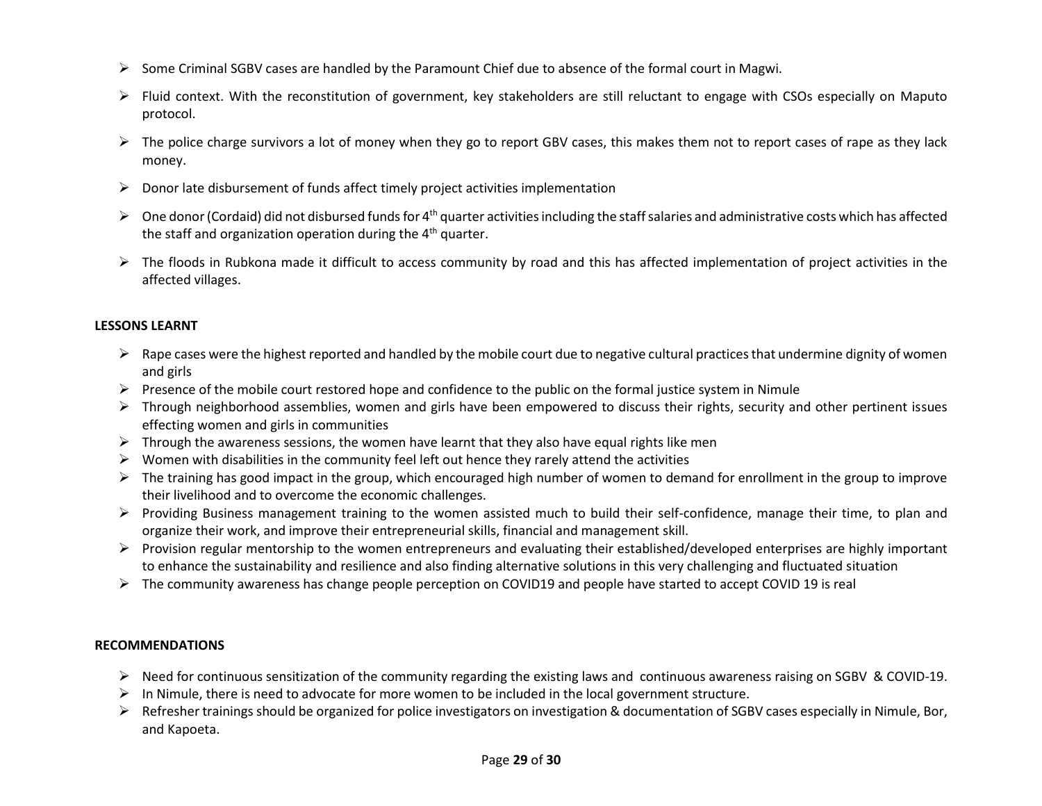- ➢ Some Criminal SGBV cases are handled by the Paramount Chief due to absence of the formal court in Magwi.
- ➢ Fluid context. With the reconstitution of government, key stakeholders are still reluctant to engage with CSOs especially on Maputo protocol.
- $\triangleright$  The police charge survivors a lot of money when they go to report GBV cases, this makes them not to report cases of rape as they lack money.
- $\triangleright$  Donor late disbursement of funds affect timely project activities implementation
- $\triangleright$  One donor (Cordaid) did not disbursed funds for 4<sup>th</sup> quarter activities including the staff salaries and administrative costs which has affected the staff and organization operation during the  $4<sup>th</sup>$  quarter.
- ➢ The floods in Rubkona made it difficult to access community by road and this has affected implementation of project activities in the affected villages.

# **LESSONS LEARNT**

- $\triangleright$  Rape cases were the highest reported and handled by the mobile court due to negative cultural practices that undermine dignity of women and girls
- $\triangleright$  Presence of the mobile court restored hope and confidence to the public on the formal justice system in Nimule
- $\triangleright$  Through neighborhood assemblies, women and girls have been empowered to discuss their rights, security and other pertinent issues effecting women and girls in communities
- $\triangleright$  Through the awareness sessions, the women have learnt that they also have equal rights like men
- $\triangleright$  Women with disabilities in the community feel left out hence they rarely attend the activities
- $\triangleright$  The training has good impact in the group, which encouraged high number of women to demand for enrollment in the group to improve their livelihood and to overcome the economic challenges.
- ➢ Providing Business management training to the women assisted much to build their self-confidence, manage their time, to plan and organize their work, and improve their entrepreneurial skills, financial and management skill.
- $\triangleright$  Provision regular mentorship to the women entrepreneurs and evaluating their established/developed enterprises are highly important to enhance the sustainability and resilience and also finding alternative solutions in this very challenging and fluctuated situation
- ➢ The community awareness has change people perception on COVID19 and people have started to accept COVID 19 is real

# **RECOMMENDATIONS**

- ➢ Need for continuous sensitization of the community regarding the existing laws and continuous awareness raising on SGBV & COVID-19.
- $\triangleright$  In Nimule, there is need to advocate for more women to be included in the local government structure.
- ➢ Refresher trainings should be organized for police investigators on investigation & documentation of SGBV cases especially in Nimule, Bor, and Kapoeta.